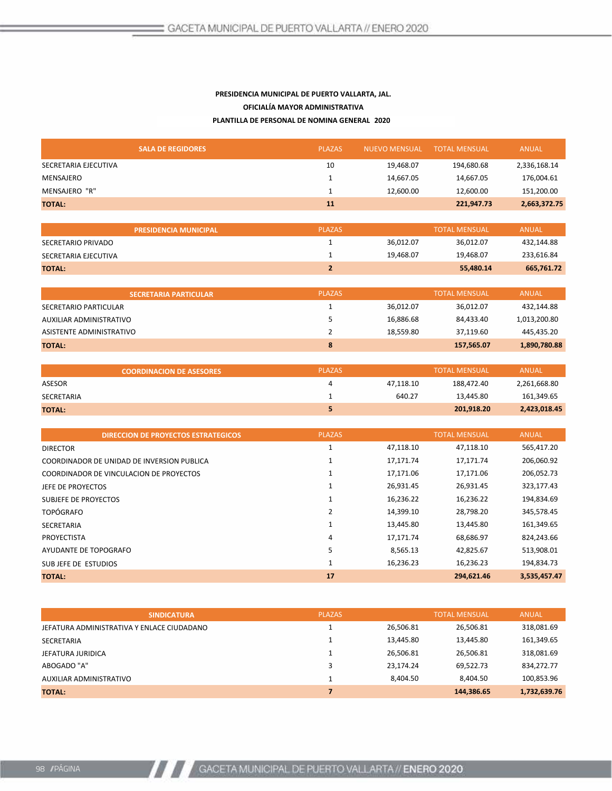## PRESIDENCIA MUNICIPAL DE PUERTO VALLARTA, JAL. PRESIDENCIA MUNICIPAL DE PUERTO VALLARTA, JAL. PRESIDENCIA MUNICIPAL DE PUERTO VALLARTA, JAL. OFICIALÍA MAYOR ADMINISTRATIVA OFICIALÍA MAYOR ADMINISTRATIVA OFICIALÍA MAYOR ADMINISTRATIVA PLANTILLA DE PERSONAL DE NOMINA GENERAL 2020

| <b>SALA DE REGIDORES</b> | <b>PLAZAS</b> | <b>NUEVO MENSUAL</b> | TOTAL MENSUAL | ANUAL        |
|--------------------------|---------------|----------------------|---------------|--------------|
| SECRETARIA EJECUTIVA     | 10            | 19,468.07            | 194,680.68    | 2,336,168.14 |
| MENSAJERO                |               | 14,667.05            | 14,667.05     | 176,004.61   |
| MENSAJERO "R"            |               | 12,600.00            | 12,600.00     | 151,200.00   |
| <b>TOTAL:</b>            | 11            |                      | 221,947.73    | 2,663,372.75 |
|                          |               |                      |               |              |

|                      | <b>PRESIDENCIA MUNICIPAL</b> | <b>PLAZAS</b> |           | <b>TOTAL MENSUAL</b> | <b>ANUAL</b> |
|----------------------|------------------------------|---------------|-----------|----------------------|--------------|
| SECRETARIO PRIVADO   |                              |               | 36,012.07 | 36,012.07            | 432,144.88   |
| SECRETARIA EJECUTIVA |                              |               | 19,468.07 | 19,468.07            | 233,616.84   |
| <b>TOTAL:</b>        |                              |               |           | 55,480.14            | 665,761.72   |

| <b>SECRETARIA PARTICULAR</b> | <b>PLAZAS</b> |           | <b>TOTAL MENSUAL</b> | ANUAL        |
|------------------------------|---------------|-----------|----------------------|--------------|
| SECRETARIO PARTICULAR        |               | 36,012.07 | 36,012.07            | 432,144.88   |
| AUXILIAR ADMINISTRATIVO      |               | 16,886.68 | 84,433.40            | 1,013,200.80 |
| ASISTENTE ADMINISTRATIVO     |               | 18,559.80 | 37,119.60            | 445,435.20   |
| <b>TOTAL:</b>                | 8             |           | 157,565.07           | 1,890,780.88 |
|                              |               |           |                      |              |

| <b>COORDINACION DE ASESORES</b> | <b>PLAZAS</b> |           | <b>TOTAL MENSUAL</b> | ANUAL        |
|---------------------------------|---------------|-----------|----------------------|--------------|
| ASESOR                          |               | 47,118.10 | 188.472.40           | 2,261,668.80 |
| SECRETARIA                      |               | 640.27    | 13,445.80            | 161,349.65   |
| <b>TOTAL:</b>                   |               |           | 201,918.20           | 2,423,018.45 |

| <b>PLAZAS</b><br><b>TOTAL MENSUAL</b><br><b>ANUAL</b><br><b>DIRECCION DE PROYECTOS ESTRATEGICOS</b><br>47,118.10<br>47,118.10<br>565,417.20<br><b>DIRECTOR</b><br>206,060.92<br>17,171.74<br>17,171.74<br>COORDINADOR DE UNIDAD DE INVERSION PUBLICA<br>17,171.06<br>17,171.06<br>206,052.73<br>COORDINADOR DE VINCULACION DE PROYECTOS<br>26,931.45<br>26,931.45<br>323,177.43<br>JEFE DE PROYECTOS<br>16,236.22<br>16,236.22<br>194,834.69<br>SUBJEFE DE PROYECTOS<br><b>TOPÓGRAFO</b><br>14,399.10<br>28,798.20<br>345,578.45<br>13,445.80<br>13,445.80<br>161,349.65<br>SECRETARIA<br>PROYECTISTA<br>17,171.74<br>68,686.97<br>824,243.66<br>4<br>513,908.01<br>8,565.13<br>42,825.67<br>AYUDANTE DE TOPOGRAFO<br>16,236.23<br>16,236.23<br>194,834.73<br>SUBJEFE DE ESTUDIOS<br>17<br>294,621.46<br><b>TOTAL:</b> |  |  |              |
|------------------------------------------------------------------------------------------------------------------------------------------------------------------------------------------------------------------------------------------------------------------------------------------------------------------------------------------------------------------------------------------------------------------------------------------------------------------------------------------------------------------------------------------------------------------------------------------------------------------------------------------------------------------------------------------------------------------------------------------------------------------------------------------------------------------------|--|--|--------------|
|                                                                                                                                                                                                                                                                                                                                                                                                                                                                                                                                                                                                                                                                                                                                                                                                                        |  |  |              |
|                                                                                                                                                                                                                                                                                                                                                                                                                                                                                                                                                                                                                                                                                                                                                                                                                        |  |  |              |
|                                                                                                                                                                                                                                                                                                                                                                                                                                                                                                                                                                                                                                                                                                                                                                                                                        |  |  |              |
|                                                                                                                                                                                                                                                                                                                                                                                                                                                                                                                                                                                                                                                                                                                                                                                                                        |  |  |              |
|                                                                                                                                                                                                                                                                                                                                                                                                                                                                                                                                                                                                                                                                                                                                                                                                                        |  |  |              |
|                                                                                                                                                                                                                                                                                                                                                                                                                                                                                                                                                                                                                                                                                                                                                                                                                        |  |  |              |
|                                                                                                                                                                                                                                                                                                                                                                                                                                                                                                                                                                                                                                                                                                                                                                                                                        |  |  |              |
|                                                                                                                                                                                                                                                                                                                                                                                                                                                                                                                                                                                                                                                                                                                                                                                                                        |  |  |              |
|                                                                                                                                                                                                                                                                                                                                                                                                                                                                                                                                                                                                                                                                                                                                                                                                                        |  |  |              |
|                                                                                                                                                                                                                                                                                                                                                                                                                                                                                                                                                                                                                                                                                                                                                                                                                        |  |  |              |
|                                                                                                                                                                                                                                                                                                                                                                                                                                                                                                                                                                                                                                                                                                                                                                                                                        |  |  |              |
|                                                                                                                                                                                                                                                                                                                                                                                                                                                                                                                                                                                                                                                                                                                                                                                                                        |  |  | 3,535,457.47 |

| <b>SINDICATURA</b>                         | <b>PLAZAS</b> |           | <b>TOTAL MENSUAL</b> | ANUAL        |
|--------------------------------------------|---------------|-----------|----------------------|--------------|
| JEFATURA ADMINISTRATIVA Y ENLACE CIUDADANO |               | 26,506.81 | 26,506.81            | 318,081.69   |
| SECRETARIA                                 |               | 13,445.80 | 13,445.80            | 161,349.65   |
| JEFATURA JURIDICA                          |               | 26,506.81 | 26,506.81            | 318,081.69   |
| ABOGADO "A"                                |               | 23,174.24 | 69,522.73            | 834,272.77   |
| AUXILIAR ADMINISTRATIVO                    |               | 8,404.50  | 8,404.50             | 100,853.96   |
| <b>TOTAL:</b>                              |               |           | 144,386.65           | 1,732,639.76 |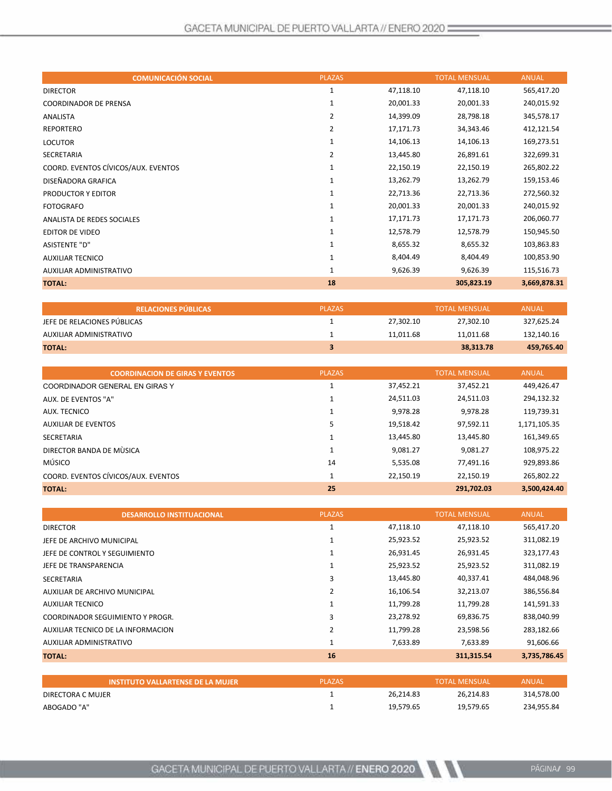| <b>COMUNICACIÓN SOCIAL</b>          | <b>PLAZAS</b>  |           | <b>TOTAL MENSUAL</b> | <b>ANUAL</b> |
|-------------------------------------|----------------|-----------|----------------------|--------------|
| <b>DIRECTOR</b>                     | 1              | 47,118.10 | 47,118.10            | 565,417.20   |
| <b>COORDINADOR DE PRENSA</b>        | 1              | 20,001.33 | 20,001.33            | 240,015.92   |
| ANALISTA                            | $\overline{2}$ | 14,399.09 | 28,798.18            | 345,578.17   |
| <b>REPORTERO</b>                    | $\overline{2}$ | 17,171.73 | 34,343.46            | 412,121.54   |
| <b>LOCUTOR</b>                      | $\mathbf{1}$   | 14,106.13 | 14,106.13            | 169,273.51   |
| SECRETARIA                          | $\overline{2}$ | 13,445.80 | 26,891.61            | 322,699.31   |
| COORD. EVENTOS CÍVICOS/AUX. EVENTOS | 1              | 22,150.19 | 22,150.19            | 265,802.22   |
| DISEÑADORA GRAFICA                  | 1              | 13,262.79 | 13,262.79            | 159,153.46   |
| PRODUCTOR Y EDITOR                  | 1              | 22,713.36 | 22,713.36            | 272,560.32   |
| <b>FOTOGRAFO</b>                    | $\mathbf{1}$   | 20,001.33 | 20,001.33            | 240,015.92   |
| ANALISTA DE REDES SOCIALES          | 1              | 17,171.73 | 17,171.73            | 206,060.77   |
| <b>EDITOR DE VIDEO</b>              | 1              | 12,578.79 | 12,578.79            | 150,945.50   |
| <b>ASISTENTE "D"</b>                | 1              | 8,655.32  | 8,655.32             | 103,863.83   |
| <b>AUXILIAR TECNICO</b>             | 1              | 8,404.49  | 8,404.49             | 100,853.90   |
| AUXILIAR ADMINISTRATIVO             | $\mathbf{1}$   | 9,626.39  | 9,626.39             | 115,516.73   |
| <b>TOTAL:</b>                       | 18             |           | 305,823.19           | 3,669,878.31 |

| <b>I RELACIONES PÚBLICAS <sup>1</sup></b> | <b>PLAZAS</b> |           | <b>TOTAL MENSUAL</b> | <b>ANUAL</b> |
|-------------------------------------------|---------------|-----------|----------------------|--------------|
| JEFE DE RELACIONES PUBLICAS               |               | 27.302.10 | 27,302.10            | 327,625.24   |
| AUXILIAR ADMINISTRATIVO                   |               | 11.011.68 | 11.011.68            | 132,140.16   |
| <b>TOTAL:</b>                             |               |           | 38.313.78            | 459,765.40   |

| <b>COORDINACION DE GIRAS Y EVENTOS</b> | <b>PLAZAS</b> |           | <b>TOTAL MENSUAL</b> | <b>ANUAL</b> |
|----------------------------------------|---------------|-----------|----------------------|--------------|
| COORDINADOR GENERAL EN GIRAS Y         |               | 37,452.21 | 37,452.21            | 449,426.47   |
| AUX. DE EVENTOS "A"                    |               | 24,511.03 | 24,511.03            | 294,132.32   |
| AUX. TECNICO                           |               | 9.978.28  | 9.978.28             | 119,739.31   |
| <b>AUXILIAR DE EVENTOS</b>             | 5             | 19,518.42 | 97,592.11            | 1,171,105.35 |
| <b>SECRETARIA</b>                      |               | 13,445.80 | 13,445.80            | 161,349.65   |
| DIRECTOR BANDA DE MÙSICA               |               | 9,081.27  | 9.081.27             | 108,975.22   |
| <b>MÚSICO</b>                          | 14            | 5,535.08  | 77.491.16            | 929,893.86   |
| COORD. EVENTOS CÍVICOS/AUX. EVENTOS    |               | 22,150.19 | 22.150.19            | 265,802.22   |
| <b>TOTAL:</b>                          | 25            |           | 291.702.03           | 3,500,424.40 |

| <b>DESARROLLO INSTITUACIONAL</b>   | <b>PLAZAS</b>  |           | <b>TOTAL MENSUAL</b> | <b>ANUAL</b> |
|------------------------------------|----------------|-----------|----------------------|--------------|
| <b>DIRECTOR</b>                    |                | 47,118.10 | 47,118.10            | 565,417.20   |
| JEFE DE ARCHIVO MUNICIPAL          |                | 25,923.52 | 25,923.52            | 311,082.19   |
| JEFE DE CONTROL Y SEGUIMIENTO      |                | 26,931.45 | 26,931.45            | 323,177.43   |
| JEFE DE TRANSPARENCIA              |                | 25,923.52 | 25,923.52            | 311,082.19   |
| <b>SECRETARIA</b>                  | 3              | 13,445.80 | 40,337.41            | 484,048.96   |
| AUXILIAR DE ARCHIVO MUNICIPAL      |                | 16,106.54 | 32,213.07            | 386,556.84   |
| <b>AUXILIAR TECNICO</b>            |                | 11,799.28 | 11,799.28            | 141,591.33   |
| COORDINADOR SEGUIMIENTO Y PROGR.   | 3              | 23,278.92 | 69,836.75            | 838,040.99   |
| AUXILIAR TECNICO DE LA INFORMACION | $\overline{2}$ | 11,799.28 | 23,598.56            | 283,182.66   |
| AUXILIAR ADMINISTRATIVO            | 1              | 7,633.89  | 7,633.89             | 91,606.66    |
| <b>TOTAL:</b>                      | 16             |           | 311,315.54           | 3,735,786.45 |

| <b>INSTITUTO VALLARTENSE DE LA MUJER</b> | <b>PLAZAS</b> |           | <b>TOTAL MENSUAL</b> | ANUAL      |
|------------------------------------------|---------------|-----------|----------------------|------------|
| DIRECTORA C MUJER                        |               | 26.214.83 | 26.214.83            | 314.578.00 |
| ABOGADO "A"                              |               | 19.579.65 | 19.579.65            | 234,955.84 |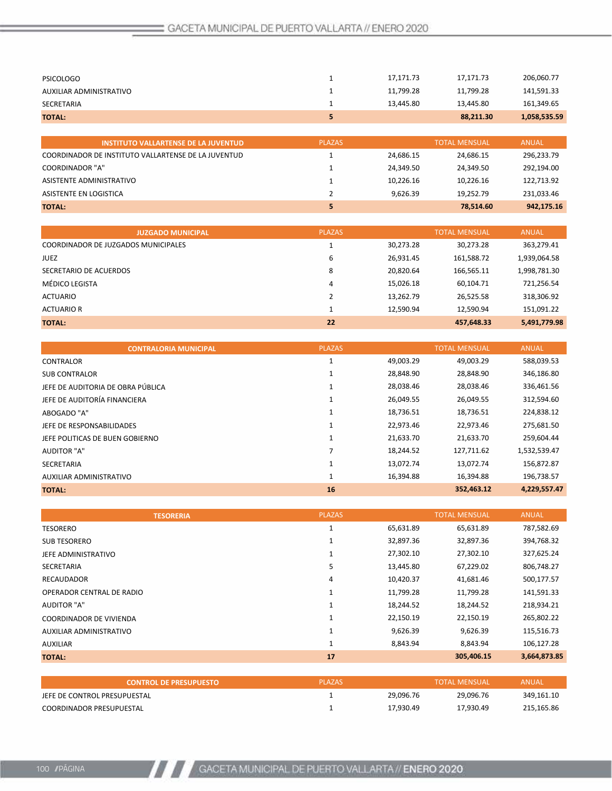| <b>PSICOLOGO</b>                                    |               | 17,171.73 | 17,171.73            | 206,060.77   |
|-----------------------------------------------------|---------------|-----------|----------------------|--------------|
| AUXILIAR ADMINISTRATIVO                             |               | 11,799.28 | 11,799.28            | 141,591.33   |
| <b>SECRETARIA</b>                                   |               | 13,445.80 | 13,445.80            | 161,349.65   |
| <b>TOTAL:</b>                                       | 5             |           | 88,211.30            | 1,058,535.59 |
|                                                     |               |           |                      |              |
| <b>INSTITUTO VALLARTENSE DE LA JUVENTUD</b>         | <b>PLAZAS</b> |           | <b>TOTAL MENSUAL</b> | <b>ANUAL</b> |
| COORDINADOR DE INSTITUTO VALLARTENSE DE LA JUVENTUD |               | 24,686.15 | 24,686.15            | 296,233.79   |
| <b>COORDINADOR "A"</b>                              |               | 24,349.50 | 24,349.50            | 292,194.00   |
| ASISTENTE ADMINISTRATIVO                            |               | 10.226.16 | 10,226.16            | 122,713.92   |
| ASISTENTE EN LOGISTICA                              | 2             | 9,626.39  | 19.252.79            | 231,033.46   |
| <b>TOTAL:</b>                                       | 5             |           | 78.514.60            | 942,175.16   |

| <b>JUZGADO MUNICIPAL</b>            | <b>PLAZAS</b> |           | <b>TOTAL MENSUAL</b> | <b>ANUAL</b> |
|-------------------------------------|---------------|-----------|----------------------|--------------|
| COORDINADOR DE JUZGADOS MUNICIPALES |               | 30,273.28 | 30,273.28            | 363,279.41   |
| <b>JUEZ</b>                         | 6             | 26,931.45 | 161,588.72           | 1,939,064.58 |
| SECRETARIO DE ACUERDOS              | 8             | 20,820.64 | 166,565.11           | 1,998,781.30 |
| MÉDICO LEGISTA                      | 4             | 15,026.18 | 60,104.71            | 721,256.54   |
| <b>ACTUARIO</b>                     |               | 13,262.79 | 26,525.58            | 318,306.92   |
| <b>ACTUARIO R</b>                   |               | 12.590.94 | 12,590.94            | 151,091.22   |
| <b>TOTAL:</b>                       | 22            |           | 457,648.33           | 5,491,779.98 |

| <b>CONTRALORIA MUNICIPAL</b>      | <b>PLAZAS</b> |           | <b>TOTAL MENSUAL</b> | <b>ANUAL</b> |
|-----------------------------------|---------------|-----------|----------------------|--------------|
| <b>CONTRALOR</b>                  |               | 49,003.29 | 49,003.29            | 588,039.53   |
| <b>SUB CONTRALOR</b>              |               | 28,848.90 | 28,848.90            | 346,186.80   |
| JEFE DE AUDITORIA DE OBRA PÚBLICA |               | 28,038.46 | 28,038.46            | 336,461.56   |
| JEFE DE AUDITORÍA FINANCIERA      |               | 26,049.55 | 26,049.55            | 312,594.60   |
| ABOGADO "A"                       |               | 18,736.51 | 18,736.51            | 224,838.12   |
| JEFE DE RESPONSABILIDADES         |               | 22,973.46 | 22.973.46            | 275,681.50   |
| JEFE POLITICAS DE BUEN GOBIERNO   |               | 21,633.70 | 21,633.70            | 259,604.44   |
| <b>AUDITOR "A"</b>                |               | 18,244.52 | 127,711.62           | 1,532,539.47 |
| <b>SECRETARIA</b>                 |               | 13.072.74 | 13,072.74            | 156,872.87   |
| AUXILIAR ADMINISTRATIVO           |               | 16,394.88 | 16,394.88            | 196,738.57   |
| <b>TOTAL:</b>                     | 16            |           | 352,463.12           | 4,229,557.47 |

| <b>TESORERIA</b>               | <b>PLAZAS</b> |           | <b>TOTAL MENSUAL</b> | <b>ANUAL</b> |
|--------------------------------|---------------|-----------|----------------------|--------------|
| <b>TESORERO</b>                | 1             | 65,631.89 | 65,631.89            | 787,582.69   |
| <b>SUB TESORERO</b>            |               | 32,897.36 | 32,897.36            | 394,768.32   |
| JEFE ADMINISTRATIVO            |               | 27,302.10 | 27,302.10            | 327,625.24   |
| <b>SECRETARIA</b>              | 5             | 13,445.80 | 67,229.02            | 806,748.27   |
| <b>RECAUDADOR</b>              | 4             | 10,420.37 | 41,681.46            | 500,177.57   |
| OPERADOR CENTRAL DE RADIO      |               | 11,799.28 | 11,799.28            | 141,591.33   |
| <b>AUDITOR "A"</b>             |               | 18,244.52 | 18,244.52            | 218,934.21   |
| <b>COORDINADOR DE VIVIENDA</b> |               | 22,150.19 | 22,150.19            | 265,802.22   |
| AUXILIAR ADMINISTRATIVO        |               | 9,626.39  | 9,626.39             | 115,516.73   |
| <b>AUXILIAR</b>                |               | 8,843.94  | 8,843.94             | 106,127.28   |
| <b>TOTAL:</b>                  | 17            |           | 305,406.15           | 3,664,873.85 |

| <b>CONTROL DE PRESUPUESTO</b>   | <b>PLAZAS</b> |           | <b>TOTAL MENSUAL</b> | ANUAL      |
|---------------------------------|---------------|-----------|----------------------|------------|
| JEFE DE CONTROL PRESUPUESTAL    |               | 29.096.76 | 29.096.76            | 349,161.10 |
| <b>COORDINADOR PRESUPUESTAL</b> |               | 17.930.49 | 17.930.49            | 215,165.86 |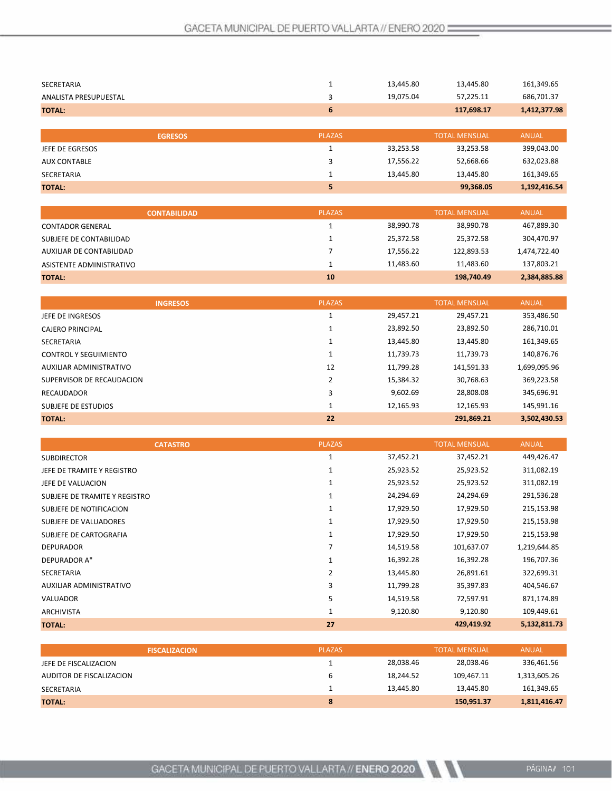| <b>SECRETARIA</b>     |               | 13,445.80 | 13,445.80            | 161,349.65   |
|-----------------------|---------------|-----------|----------------------|--------------|
| ANALISTA PRESUPUESTAL | 3             | 19,075.04 | 57,225.11            | 686,701.37   |
| <b>TOTAL:</b>         | 6             |           | 117,698.17           | 1,412,377.98 |
|                       |               |           |                      |              |
| <b>EGRESOS</b>        | <b>PLAZAS</b> |           | <b>TOTAL MENSUAL</b> | <b>ANUAL</b> |
| JEFE DE EGRESOS       |               | 33,253.58 | 33,253.58            | 399,043.00   |
| <b>AUX CONTABLE</b>   | 3             | 17,556.22 | 52,668.66            | 632,023.88   |
| <b>SECRETARIA</b>     |               | 13,445.80 | 13,445.80            | 161,349.65   |
| <b>TOTAL:</b>         | 5             |           | 99,368.05            | 1,192,416.54 |

|                          | <b>CONTABILIDAD</b> | <b>PLAZAS</b> |           | <b>TOTAL MENSUAL</b> | ANUAL        |
|--------------------------|---------------------|---------------|-----------|----------------------|--------------|
| <b>CONTADOR GENERAL</b>  |                     |               | 38,990.78 | 38,990.78            | 467,889.30   |
| SUBJEFE DE CONTABILIDAD  |                     |               | 25.372.58 | 25.372.58            | 304,470.97   |
| AUXILIAR DE CONTABILIDAD |                     |               | 17.556.22 | 122.893.53           | 1,474,722.40 |
| ASISTENTE ADMINISTRATIVO |                     |               | 11.483.60 | 11.483.60            | 137,803.21   |
| <b>TOTAL:</b>            |                     | 10            |           | 198,740.49           | 2,384,885.88 |

| <b>INGRESOS</b>              | <b>PLAZAS</b> |           | <b>TOTAL MENSUAL</b> | <b>ANUAL</b> |
|------------------------------|---------------|-----------|----------------------|--------------|
| JEFE DE INGRESOS             |               | 29.457.21 | 29.457.21            | 353,486.50   |
| CAJERO PRINCIPAL             |               | 23.892.50 | 23,892.50            | 286,710.01   |
| <b>SECRETARIA</b>            |               | 13,445.80 | 13,445.80            | 161,349.65   |
| <b>CONTROL Y SEGUIMIENTO</b> |               | 11.739.73 | 11.739.73            | 140,876.76   |
| AUXILIAR ADMINISTRATIVO      | 12            | 11.799.28 | 141,591.33           | 1,699,095.96 |
| SUPERVISOR DE RECAUDACION    |               | 15,384.32 | 30,768.63            | 369,223.58   |
| <b>RECAUDADOR</b>            | 3             | 9,602.69  | 28,808.08            | 345,696.91   |
| SUBJEFE DE ESTUDIOS          |               | 12.165.93 | 12,165.93            | 145.991.16   |
| <b>TOTAL:</b>                | 22            |           | 291,869.21           | 3,502,430.53 |

| <b>CATASTRO</b>               | <b>PLAZAS</b> |           | <b>TOTAL MENSUAL</b> | <b>ANUAL</b> |
|-------------------------------|---------------|-----------|----------------------|--------------|
| <b>SUBDIRECTOR</b>            | 1             | 37,452.21 | 37,452.21            | 449,426.47   |
| JEFE DE TRAMITE Y REGISTRO    | 1             | 25,923.52 | 25,923.52            | 311,082.19   |
| JEFE DE VALUACION             | 1             | 25,923.52 | 25,923.52            | 311,082.19   |
| SUBJEFE DE TRAMITE Y REGISTRO | 1             | 24,294.69 | 24,294.69            | 291,536.28   |
| SUBJEFE DE NOTIFICACION       | 1             | 17,929.50 | 17,929.50            | 215,153.98   |
| SUBJEFE DE VALUADORES         | 1             | 17,929.50 | 17,929.50            | 215,153.98   |
| SUBJEFE DE CARTOGRAFIA        | 1             | 17,929.50 | 17,929.50            | 215,153.98   |
| <b>DEPURADOR</b>              | 7             | 14,519.58 | 101,637.07           | 1,219,644.85 |
| DEPURADOR A"                  | 1             | 16,392.28 | 16,392.28            | 196,707.36   |
| <b>SECRETARIA</b>             | 2             | 13,445.80 | 26,891.61            | 322,699.31   |
| AUXILIAR ADMINISTRATIVO       | 3             | 11,799.28 | 35,397.83            | 404,546.67   |
| VALUADOR                      | 5             | 14,519.58 | 72,597.91            | 871,174.89   |
| <b>ARCHIVISTA</b>             | 1             | 9,120.80  | 9,120.80             | 109,449.61   |
| <b>TOTAL:</b>                 | 27            |           | 429,419.92           | 5,132,811.73 |

| <b>FISCALIZACION</b>     | <b>PLAZAS</b> |           | <b>TOTAL MENSUAL</b> | <b>ANUAL</b> |
|--------------------------|---------------|-----------|----------------------|--------------|
| JEFE DE FISCALIZACION    |               | 28.038.46 | 28.038.46            | 336,461.56   |
| AUDITOR DE FISCALIZACION | b             | 18.244.52 | 109.467.11           | 1,313,605.26 |
| <b>SECRETARIA</b>        |               | 13.445.80 | 13.445.80            | 161,349.65   |
| <b>TOTAL:</b>            | 8             |           | 150,951.37           | 1,811,416.47 |

N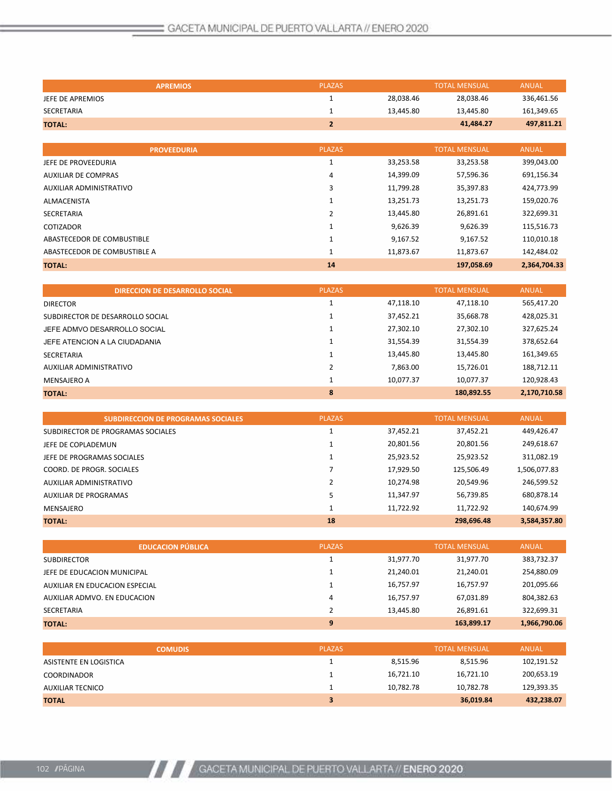| <b>APREMIOS</b>  | <b>PLAZAS</b> |           | <b>TOTAL MENSUAL</b> | <b>ANUAL</b> |
|------------------|---------------|-----------|----------------------|--------------|
| JEFE DE APREMIOS |               | 28.038.46 | 28.038.46            | 336,461.56   |
| SECRETARIA       |               | 13.445.80 | 13.445.80            | 161,349.65   |
| <b>TOTAL:</b>    |               |           | 41.484.27            | 497,811.21   |

| <b>PROVEEDURIA</b>           | <b>PLAZAS</b> |           | <b>TOTAL MENSUAL</b> | <b>ANUAL</b> |
|------------------------------|---------------|-----------|----------------------|--------------|
| JEFE DE PROVEEDURIA          |               | 33,253.58 | 33,253.58            | 399,043.00   |
| <b>AUXILIAR DE COMPRAS</b>   | 4             | 14,399.09 | 57,596.36            | 691,156.34   |
| AUXILIAR ADMINISTRATIVO      | 3             | 11,799.28 | 35.397.83            | 424,773.99   |
| <b>ALMACENISTA</b>           |               | 13,251.73 | 13,251.73            | 159,020.76   |
| <b>SECRETARIA</b>            | ำ             | 13,445.80 | 26,891.61            | 322,699.31   |
| <b>COTIZADOR</b>             |               | 9,626.39  | 9,626.39             | 115,516.73   |
| ABASTECEDOR DE COMBUSTIBLE   |               | 9,167.52  | 9,167.52             | 110,010.18   |
| ABASTECEDOR DE COMBUSTIBLE A |               | 11,873.67 | 11.873.67            | 142,484.02   |
| <b>TOTAL:</b>                | 14            |           | 197,058.69           | 2,364,704.33 |

|                                  | <b>DIRECCION DE DESARROLLO SOCIAL</b> | <b>PLAZAS</b> |           | <b>TOTAL MENSUAL</b> | <b>ANUAL</b> |
|----------------------------------|---------------------------------------|---------------|-----------|----------------------|--------------|
| <b>DIRECTOR</b>                  |                                       |               | 47,118.10 | 47,118.10            | 565,417.20   |
| SUBDIRECTOR DE DESARROLLO SOCIAL |                                       |               | 37,452.21 | 35,668.78            | 428,025.31   |
| JEFE ADMVO DESARROLLO SOCIAL     |                                       |               | 27,302.10 | 27,302.10            | 327,625.24   |
| JEFE ATENCION A LA CIUDADANIA    |                                       |               | 31,554.39 | 31,554.39            | 378,652.64   |
| SECRETARIA                       |                                       |               | 13,445.80 | 13,445.80            | 161,349.65   |
| AUXILIAR ADMINISTRATIVO          |                                       |               | 7,863.00  | 15,726.01            | 188,712.11   |
| <b>MENSAJERO A</b>               |                                       |               | 10,077.37 | 10,077.37            | 120,928.43   |
| <b>TOTAL:</b>                    |                                       | 8             |           | 180,892.55           | 2,170,710.58 |

| <b>SUBDIRECCION DE PROGRAMAS SOCIALES</b> | <b>PLAZAS</b> |           | <b>TOTAL MENSUAL</b> | <b>ANUAL</b> |
|-------------------------------------------|---------------|-----------|----------------------|--------------|
| SUBDIRECTOR DE PROGRAMAS SOCIALES         |               | 37.452.21 | 37.452.21            | 449.426.47   |
| JEFE DE COPLADEMUN                        |               | 20.801.56 | 20.801.56            | 249,618.67   |
| JEFE DE PROGRAMAS SOCIALES                |               | 25,923.52 | 25,923.52            | 311,082.19   |
| COORD. DE PROGR. SOCIALES                 |               | 17,929.50 | 125,506.49           | 1,506,077.83 |
| AUXILIAR ADMINISTRATIVO                   | 2             | 10,274.98 | 20,549.96            | 246,599.52   |
| AUXILIAR DE PROGRAMAS                     | 5             | 11,347.97 | 56,739.85            | 680,878.14   |
| MENSAJERO                                 |               | 11,722.92 | 11.722.92            | 140,674.99   |
| <b>TOTAL:</b>                             | 18            |           | 298.696.48           | 3,584,357.80 |

| <b>EDUCACION PÚBLICA</b>       | <b>PLAZAS</b> |           | <b>TOTAL MENSUAL</b> | <b>ANUAL</b> |
|--------------------------------|---------------|-----------|----------------------|--------------|
| <b>SUBDIRECTOR</b>             |               | 31.977.70 | 31.977.70            | 383,732.37   |
| JEFE DE EDUCACION MUNICIPAL    |               | 21,240.01 | 21,240.01            | 254,880.09   |
| AUXILIAR EN EDUCACION ESPECIAL |               | 16,757.97 | 16,757.97            | 201,095.66   |
| AUXILIAR ADMVO. EN EDUCACION   | 4             | 16,757.97 | 67,031.89            | 804,382.63   |
| SECRETARIA                     |               | 13.445.80 | 26.891.61            | 322.699.31   |
| <b>TOTAL:</b>                  | 9             |           | 163,899.17           | 1,966,790.06 |

| <b>COMUDIS</b>         | <b>PLAZAS</b> |           | <b>TOTAL MENSUAL</b> | <b>ANUAL</b> |
|------------------------|---------------|-----------|----------------------|--------------|
| ASISTENTE EN LOGISTICA |               | 8.515.96  | 8.515.96             | 102,191.52   |
| <b>COORDINADOR</b>     |               | 16.721.10 | 16,721.10            | 200,653.19   |
| AUXILIAR TECNICO       |               | 10.782.78 | 10.782.78            | 129,393.35   |
| <b>TOTAL</b>           | з             |           | 36,019.84            | 432,238.07   |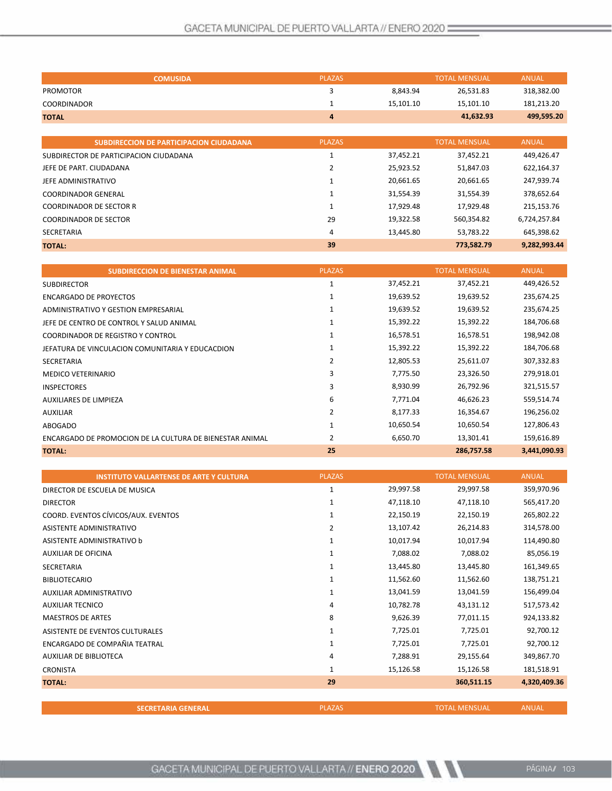| <b>COMUSIDA</b>                                | <b>PLAZAS</b> |           | <b>TOTAL MENSUAL</b> | <b>ANUAL</b> |
|------------------------------------------------|---------------|-----------|----------------------|--------------|
| <b>PROMOTOR</b>                                | 3             | 8,843.94  | 26,531.83            | 318,382.00   |
| <b>COORDINADOR</b>                             |               | 15,101.10 | 15,101.10            | 181,213.20   |
| <b>TOTAL</b>                                   | 4             |           | 41,632.93            | 499,595.20   |
|                                                |               |           |                      |              |
| <b>SUBDIRECCION DE PARTICIPACION CIUDADANA</b> | <b>PLAZAS</b> |           | <b>TOTAL MENSUAL</b> | <b>ANUAL</b> |
| SUBDIRECTOR DE PARTICIPACION CIUDADANA         |               | 37,452.21 | 37,452.21            | 449,426.47   |
| JEFE DE PART. CIUDADANA                        | 2             | 25,923.52 | 51,847.03            | 622,164.37   |
| JEFE ADMINISTRATIVO                            |               | 20,661.65 | 20,661.65            | 247,939.74   |
| <b>COORDINADOR GENERAL</b>                     |               | 31,554.39 | 31,554.39            | 378,652.64   |
| <b>COORDINADOR DE SECTOR R</b>                 | $\mathbf{1}$  | 17,929.48 | 17,929.48            | 215,153.76   |
| <b>COORDINADOR DE SECTOR</b>                   | 29            | 19,322.58 | 560,354.82           | 6,724,257.84 |
| SECRETARIA                                     | 4             | 13,445.80 | 53,783.22            | 645,398.62   |
| <b>TOTAL:</b>                                  | 39            |           | 773,582.79           | 9,282,993.44 |

| <b>SUBDIRECCION DE BIENESTAR ANIMAL</b>                  | <b>PLAZAS</b>  |           | <b>TOTAL MENSUAL</b> | <b>ANUAL</b> |
|----------------------------------------------------------|----------------|-----------|----------------------|--------------|
| <b>SUBDIRECTOR</b>                                       | 1              | 37,452.21 | 37,452.21            | 449,426.52   |
| ENCARGADO DE PROYECTOS                                   | 1              | 19,639.52 | 19,639.52            | 235,674.25   |
| ADMINISTRATIVO Y GESTION EMPRESARIAL                     | 1              | 19,639.52 | 19,639.52            | 235,674.25   |
| JEFE DE CENTRO DE CONTROL Y SALUD ANIMAL                 | 1              | 15,392.22 | 15,392.22            | 184,706.68   |
| <b>COORDINADOR DE REGISTRO Y CONTROL</b>                 | 1              | 16,578.51 | 16,578.51            | 198,942.08   |
| JEFATURA DE VINCULACION COMUNITARIA Y EDUCACDION         | 1              | 15,392.22 | 15,392.22            | 184,706.68   |
| <b>SECRETARIA</b>                                        | 2              | 12,805.53 | 25,611.07            | 307,332.83   |
| <b>MEDICO VETERINARIO</b>                                | 3              | 7,775.50  | 23,326.50            | 279,918.01   |
| <b>INSPECTORES</b>                                       | 3              | 8,930.99  | 26,792.96            | 321,515.57   |
| <b>AUXILIARES DE LIMPIEZA</b>                            | 6              | 7,771.04  | 46,626.23            | 559,514.74   |
| <b>AUXILIAR</b>                                          | $\overline{2}$ | 8,177.33  | 16,354.67            | 196,256.02   |
| ABOGADO                                                  |                | 10,650.54 | 10,650.54            | 127,806.43   |
| ENCARGADO DE PROMOCION DE LA CULTURA DE BIENESTAR ANIMAL | 2              | 6,650.70  | 13,301.41            | 159,616.89   |
| <b>TOTAL:</b>                                            | 25             |           | 286,757.58           | 3,441,090.93 |

| <b>INSTITUTO VALLARTENSE DE ARTE Y CULTURA</b> | <b>PLAZAS</b> |           | <b>TOTAL MENSUAL</b> | <b>ANUAL</b> |
|------------------------------------------------|---------------|-----------|----------------------|--------------|
| DIRECTOR DE ESCUELA DE MUSICA                  | 1             | 29,997.58 | 29,997.58            | 359,970.96   |
| <b>DIRECTOR</b>                                | 1             | 47,118.10 | 47,118.10            | 565,417.20   |
| COORD. EVENTOS CÍVICOS/AUX. EVENTOS            | 1             | 22,150.19 | 22,150.19            | 265,802.22   |
| ASISTENTE ADMINISTRATIVO                       | 2             | 13,107.42 | 26,214.83            | 314,578.00   |
| ASISTENTE ADMINISTRATIVO b                     |               | 10,017.94 | 10,017.94            | 114,490.80   |
| AUXILIAR DE OFICINA                            |               | 7,088.02  | 7,088.02             | 85,056.19    |
| <b>SECRETARIA</b>                              | 1             | 13,445.80 | 13,445.80            | 161,349.65   |
| <b>BIBLIOTECARIO</b>                           | 1             | 11,562.60 | 11,562.60            | 138,751.21   |
| AUXILIAR ADMINISTRATIVO                        | 1             | 13,041.59 | 13,041.59            | 156,499.04   |
| <b>AUXILIAR TECNICO</b>                        | 4             | 10,782.78 | 43,131.12            | 517,573.42   |
| <b>MAESTROS DE ARTES</b>                       | 8             | 9,626.39  | 77,011.15            | 924,133.82   |
| ASISTENTE DE EVENTOS CULTURALES                | 1             | 7,725.01  | 7,725.01             | 92,700.12    |
| ENCARGADO DE COMPAÑIA TEATRAL                  | 1             | 7,725.01  | 7,725.01             | 92,700.12    |
| AUXILIAR DE BIBLIOTECA                         | 4             | 7,288.91  | 29,155.64            | 349,867.70   |
| <b>CRONISTA</b>                                | 1             | 15,126.58 | 15,126.58            | 181,518.91   |
| <b>TOTAL:</b>                                  | 29            |           | 360,511.15           | 4,320,409.36 |
|                                                |               |           |                      |              |
| <b>SECRETARIA GENERAL</b>                      | <b>PLAZAS</b> |           | <b>TOTAL MENSUAL</b> | <b>ANUAL</b> |

 $\mathbb{Z}$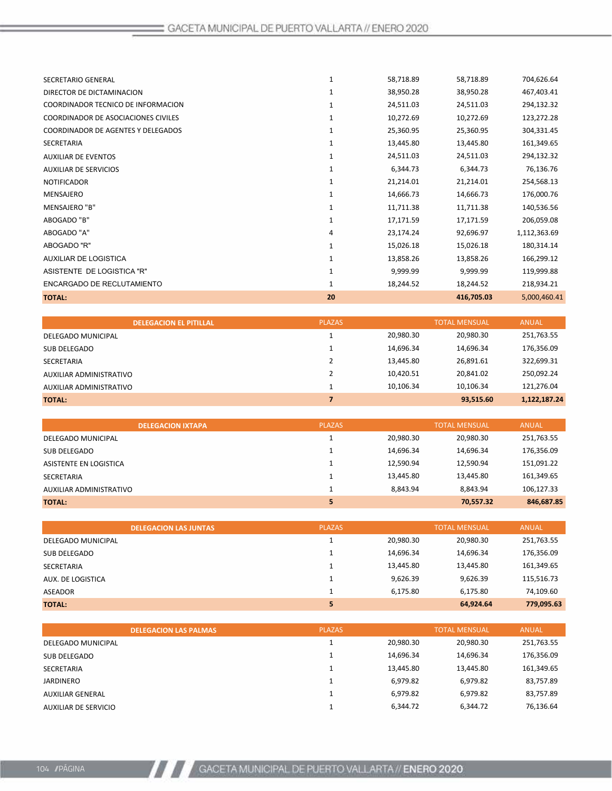| <b>TOTAL:</b>                       | 20           |           | 416,705.03 | 5,000,460.41 |
|-------------------------------------|--------------|-----------|------------|--------------|
| ENCARGADO DE RECLUTAMIENTO          |              | 18,244.52 | 18,244.52  | 218,934.21   |
| ASISTENTE DE LOGISTICA "R"          | 1            | 9,999.99  | 9,999.99   | 119,999.88   |
| <b>AUXILIAR DE LOGISTICA</b>        | $\mathbf{1}$ | 13,858.26 | 13,858.26  | 166,299.12   |
| ABOGADO "R"                         | 1            | 15,026.18 | 15,026.18  | 180,314.14   |
| ABOGADO "A"                         | 4            | 23,174.24 | 92,696.97  | 1,112,363.69 |
| ABOGADO "B"                         | $\mathbf{1}$ | 17,171.59 | 17,171.59  | 206,059.08   |
| MENSAJERO "B"                       | $\mathbf{1}$ | 11,711.38 | 11,711.38  | 140,536.56   |
| <b>MENSAJERO</b>                    | $\mathbf{1}$ | 14,666.73 | 14,666.73  | 176,000.76   |
| <b>NOTIFICADOR</b>                  | 1            | 21,214.01 | 21,214.01  | 254,568.13   |
| <b>AUXILIAR DE SERVICIOS</b>        | $\mathbf{1}$ | 6,344.73  | 6,344.73   | 76,136.76    |
| <b>AUXILIAR DE EVENTOS</b>          | $\mathbf{1}$ | 24,511.03 | 24,511.03  | 294,132.32   |
| SECRETARIA                          | 1            | 13,445.80 | 13,445.80  | 161,349.65   |
| COORDINADOR DE AGENTES Y DELEGADOS  | 1            | 25,360.95 | 25,360.95  | 304,331.45   |
| COORDINADOR DE ASOCIACIONES CIVILES | $\mathbf{1}$ | 10,272.69 | 10,272.69  | 123,272.28   |
| COORDINADOR TECNICO DE INFORMACION  | $\mathbf{1}$ | 24,511.03 | 24,511.03  | 294,132.32   |
| DIRECTOR DE DICTAMINACION           | 1            | 38,950.28 | 38,950.28  | 467,403.41   |
| SECRETARIO GENERAL                  | 1            | 58,718.89 | 58,718.89  | 704,626.64   |
|                                     |              |           |            |              |

| <b>DELEGACION EL PITILLAL</b> | <b>PLAZAS</b> |           | <b>TOTAL MENSUAL</b> | <b>ANUAL</b> |
|-------------------------------|---------------|-----------|----------------------|--------------|
| DELEGADO MUNICIPAL            |               | 20,980.30 | 20,980.30            | 251,763.55   |
| SUB DELEGADO                  |               | 14,696.34 | 14,696.34            | 176,356.09   |
| SECRETARIA                    |               | 13,445.80 | 26,891.61            | 322,699.31   |
| AUXILIAR ADMINISTRATIVO       |               | 10,420.51 | 20,841.02            | 250,092.24   |
| AUXILIAR ADMINISTRATIVO       |               | 10.106.34 | 10,106.34            | 121,276.04   |
| ΤΟΤΛΙ:                        | 7             |           | 93,515.60            | 1,122,187.24 |
|                               |               |           |                      |              |

| <b>DELEGACION IXTAPA</b> | <b>PLAZAS</b> |           | <b>TOTAL MENSUAL</b> | <b>ANUAL</b> |
|--------------------------|---------------|-----------|----------------------|--------------|
| DELEGADO MUNICIPAL       |               | 20,980.30 | 20,980.30            | 251,763.55   |
| SUB DELEGADO             |               | 14,696.34 | 14,696.34            | 176,356.09   |
| ASISTENTE EN LOGISTICA   |               | 12,590.94 | 12,590.94            | 151,091.22   |
| SECRETARIA               |               | 13,445.80 | 13,445.80            | 161,349.65   |
| AUXILIAR ADMINISTRATIVO  |               | 8.843.94  | 8.843.94             | 106,127.33   |
| <b>TOTAL:</b>            |               |           | 70,557.32            | 846,687.85   |

|                    | <b>DELEGACION LAS JUNTAS</b> | <b>PLAZAS</b> |           | <b>TOTAL MENSUAL</b> | <b>ANUAL</b> |
|--------------------|------------------------------|---------------|-----------|----------------------|--------------|
| DELEGADO MUNICIPAL |                              |               | 20,980.30 | 20,980.30            | 251,763.55   |
| SUB DELEGADO       |                              |               | 14,696.34 | 14,696.34            | 176,356.09   |
| SECRETARIA         |                              |               | 13,445.80 | 13,445.80            | 161,349.65   |
| AUX. DE LOGISTICA  |                              |               | 9,626.39  | 9,626.39             | 115,516.73   |
| <b>ASEADOR</b>     |                              |               | 6,175.80  | 6,175.80             | 74,109.60    |
| <b>TOTAL:</b>      |                              | 5             |           | 64,924.64            | 779,095.63   |

|                      | <b>DELEGACION LAS PALMAS</b> | <b>PLAZAS</b> |           | <b>TOTAL MENSUAL</b> | <b>ANUAL</b> |
|----------------------|------------------------------|---------------|-----------|----------------------|--------------|
| DELEGADO MUNICIPAL   |                              |               | 20.980.30 | 20,980.30            | 251,763.55   |
| SUB DELEGADO         |                              |               | 14,696.34 | 14,696.34            | 176,356.09   |
| SECRETARIA           |                              |               | 13,445.80 | 13,445.80            | 161,349.65   |
| <b>JARDINERO</b>     |                              |               | 6,979.82  | 6,979.82             | 83,757.89    |
| AUXILIAR GENERAL     |                              |               | 6,979.82  | 6,979.82             | 83,757.89    |
| AUXILIAR DE SERVICIO |                              |               | 6.344.72  | 6.344.72             | 76,136.64    |
|                      |                              |               |           |                      |              |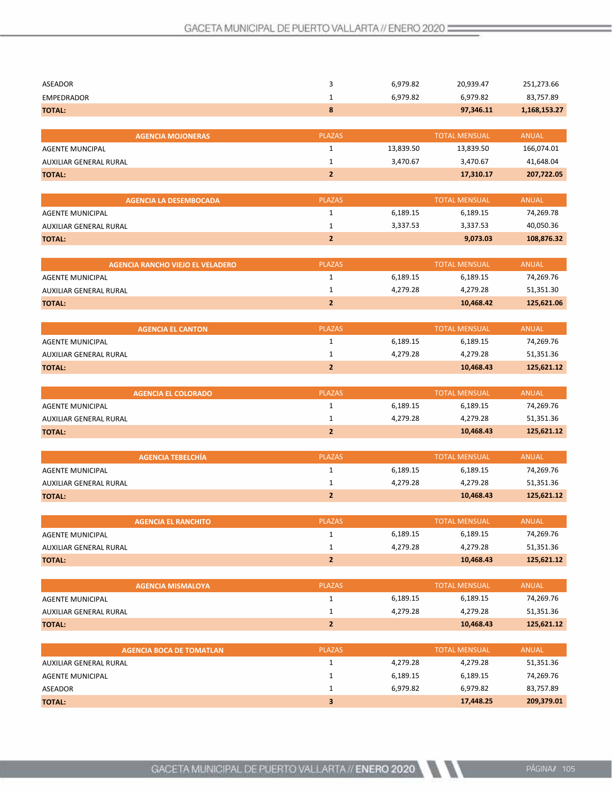| <b>ASEADOR</b>                          | 3              | 6,979.82  | 20,939.47            | 251,273.66   |
|-----------------------------------------|----------------|-----------|----------------------|--------------|
| <b>EMPEDRADOR</b>                       | 1              | 6,979.82  | 6,979.82             | 83,757.89    |
| <b>TOTAL:</b>                           | 8              |           | 97,346.11            | 1,168,153.27 |
|                                         |                |           |                      |              |
| <b>AGENCIA MOJONERAS</b>                | <b>PLAZAS</b>  |           | <b>TOTAL MENSUAL</b> | <b>ANUAL</b> |
| <b>AGENTE MUNCIPAL</b>                  | $\mathbf 1$    | 13,839.50 | 13,839.50            | 166,074.01   |
| AUXILIAR GENERAL RURAL                  | $\mathbf 1$    | 3,470.67  | 3,470.67             | 41,648.04    |
| <b>TOTAL:</b>                           | $\overline{2}$ |           | 17,310.17            | 207,722.05   |
|                                         |                |           |                      |              |
| <b>AGENCIA LA DESEMBOCADA</b>           | <b>PLAZAS</b>  |           | <b>TOTAL MENSUAL</b> | <b>ANUAL</b> |
| <b>AGENTE MUNICIPAL</b>                 | $\mathbf{1}$   | 6,189.15  | 6,189.15             | 74,269.78    |
| AUXILIAR GENERAL RURAL                  | $\mathbf 1$    | 3,337.53  | 3,337.53             | 40,050.36    |
| <b>TOTAL:</b>                           | $\overline{2}$ |           | 9,073.03             | 108,876.32   |
|                                         |                |           |                      |              |
| <b>AGENCIA RANCHO VIEJO EL VELADERO</b> | <b>PLAZAS</b>  |           | <b>TOTAL MENSUAL</b> | <b>ANUAL</b> |
| <b>AGENTE MUNICIPAL</b>                 | $\mathbf 1$    | 6,189.15  | 6,189.15             | 74,269.76    |
| AUXILIAR GENERAL RURAL                  | $\mathbf 1$    | 4,279.28  | 4,279.28             | 51,351.30    |
| <b>TOTAL:</b>                           | $\overline{2}$ |           | 10,468.42            | 125,621.06   |
|                                         |                |           |                      |              |
| <b>AGENCIA EL CANTON</b>                | <b>PLAZAS</b>  |           | <b>TOTAL MENSUAL</b> | <b>ANUAL</b> |
| <b>AGENTE MUNICIPAL</b>                 | $\mathbf 1$    | 6,189.15  | 6,189.15             | 74,269.76    |
| AUXILIAR GENERAL RURAL                  | $\mathbf 1$    | 4,279.28  | 4,279.28             | 51,351.36    |
| <b>TOTAL:</b>                           | $\overline{2}$ |           | 10,468.43            | 125,621.12   |
|                                         |                |           |                      |              |
| <b>AGENCIA EL COLORADO</b>              | <b>PLAZAS</b>  |           | <b>TOTAL MENSUAL</b> | <b>ANUAL</b> |
| AGENTE MUNICIPAL                        | $\mathbf{1}$   | 6,189.15  | 6,189.15             | 74,269.76    |
| AUXILIAR GENERAL RURAL                  | $\mathbf 1$    | 4,279.28  | 4,279.28             | 51,351.36    |
| <b>TOTAL:</b>                           | $\mathbf{2}$   |           | 10,468.43            | 125,621.12   |
|                                         |                |           |                      |              |
| <b>AGENCIA TEBELCHÍA</b>                | <b>PLAZAS</b>  |           | <b>TOTAL MENSUAL</b> | <b>ANUAL</b> |
| <b>AGENTE MUNICIPAL</b>                 | $\mathbf{1}$   | 6,189.15  | 6,189.15             | 74,269.76    |
| AUXILIAR GENERAL RURAL                  | 1              | 4,279.28  | 4,279.28             | 51,351.36    |
| <b>TOTAL:</b>                           | $\overline{2}$ |           | 10,468.43            | 125,621.12   |
|                                         |                |           |                      |              |
| <b>AGENCIA EL RANCHITO</b>              | <b>PLAZAS</b>  |           | <b>TOTAL MENSUAL</b> | <b>ANUAL</b> |
| <b>AGENTE MUNICIPAL</b>                 | $\mathbf 1$    | 6,189.15  | 6,189.15             | 74,269.76    |
| AUXILIAR GENERAL RURAL                  | $\mathbf{1}$   | 4,279.28  | 4,279.28             | 51,351.36    |
| <b>TOTAL:</b>                           | $\mathbf{2}$   |           | 10,468.43            | 125,621.12   |
|                                         |                |           |                      |              |
| <b>AGENCIA MISMALOYA</b>                | <b>PLAZAS</b>  |           | <b>TOTAL MENSUAL</b> | <b>ANUAL</b> |
| <b>AGENTE MUNICIPAL</b>                 | $\mathbf{1}$   | 6,189.15  | 6,189.15             | 74,269.76    |
| AUXILIAR GENERAL RURAL                  | $\mathbf{1}$   | 4,279.28  | 4,279.28             | 51,351.36    |
| <b>TOTAL:</b>                           | $\mathbf{2}$   |           | 10,468.43            | 125,621.12   |
|                                         |                |           |                      |              |
| <b>AGENCIA BOCA DE TOMATLAN</b>         | <b>PLAZAS</b>  |           | <b>TOTAL MENSUAL</b> | <b>ANUAL</b> |
| AUXILIAR GENERAL RURAL                  | $\mathbf 1$    | 4,279.28  | 4,279.28             | 51,351.36    |
| AGENTE MUNICIPAL                        | $\mathbf{1}$   | 6,189.15  | 6,189.15             | 74,269.76    |
| ASEADOR                                 | $\mathbf{1}$   | 6,979.82  | 6,979.82             | 83,757.89    |
| <b>TOTAL:</b>                           | 3              |           | 17,448.25            | 209,379.01   |

 $\mathcal{N}$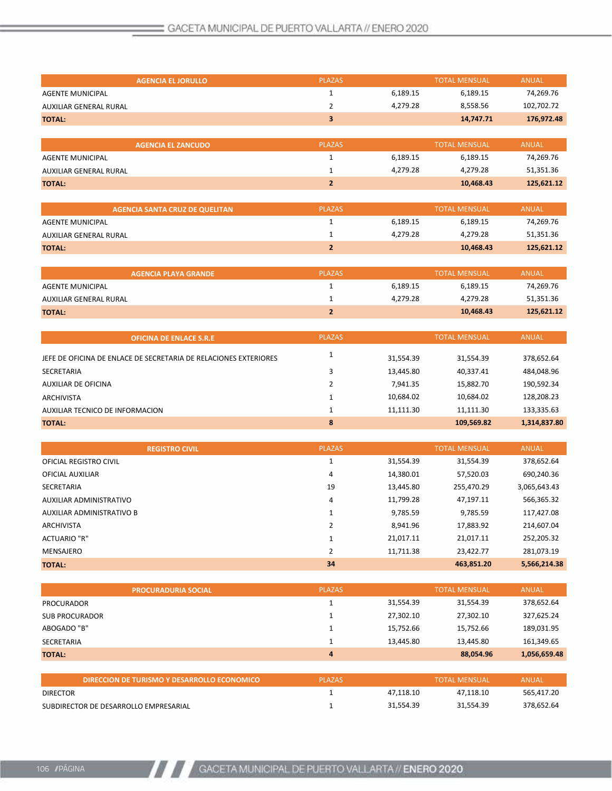| <b>AGENCIA EL JORULLO</b>                                        | <b>PLAZAS</b>           |           | <b>TOTAL MENSUAL</b> | <b>ANUAL</b> |
|------------------------------------------------------------------|-------------------------|-----------|----------------------|--------------|
| <b>AGENTE MUNICIPAL</b>                                          | $\mathbf{1}$            | 6,189.15  | 6,189.15             | 74,269.76    |
| <b>AUXILIAR GENERAL RURAL</b>                                    | $\overline{2}$          | 4,279.28  | 8,558.56             | 102,702.72   |
| <b>TOTAL:</b>                                                    | $\overline{\mathbf{3}}$ |           | 14,747.71            | 176,972.48   |
|                                                                  |                         |           |                      |              |
| <b>AGENCIA EL ZANCUDO</b>                                        | <b>PLAZAS</b>           |           | <b>TOTAL MENSUAL</b> | <b>ANUAL</b> |
| <b>AGENTE MUNICIPAL</b>                                          | $\mathbf{1}$            | 6,189.15  | 6,189.15             | 74,269.76    |
| AUXILIAR GENERAL RURAL                                           | 1                       | 4,279.28  | 4,279.28             | 51,351.36    |
| <b>TOTAL:</b>                                                    | $\overline{2}$          |           | 10,468.43            | 125,621.12   |
|                                                                  |                         |           |                      |              |
| <b>AGENCIA SANTA CRUZ DE QUELITAN</b>                            | <b>PLAZAS</b>           |           | <b>TOTAL MENSUAL</b> | <b>ANUAL</b> |
| <b>AGENTE MUNICIPAL</b>                                          | 1                       | 6,189.15  | 6,189.15             | 74,269.76    |
| AUXILIAR GENERAL RURAL                                           | 1                       | 4,279.28  | 4,279.28             | 51,351.36    |
| <b>TOTAL:</b>                                                    | $\overline{2}$          |           | 10,468.43            | 125,621.12   |
|                                                                  |                         |           |                      |              |
| <b>AGENCIA PLAYA GRANDE</b>                                      | <b>PLAZAS</b>           |           | <b>TOTAL MENSUAL</b> | <b>ANUAL</b> |
| <b>AGENTE MUNICIPAL</b>                                          | $\mathbf{1}$            | 6,189.15  | 6,189.15             | 74,269.76    |
| <b>AUXILIAR GENERAL RURAL</b>                                    | 1                       | 4,279.28  | 4,279.28             | 51,351.36    |
| <b>TOTAL:</b>                                                    | $\overline{2}$          |           | 10,468.43            | 125,621.12   |
|                                                                  |                         |           |                      |              |
| <b>OFICINA DE ENLACE S.R.E</b>                                   | <b>PLAZAS</b>           |           | <b>TOTAL MENSUAL</b> | <b>ANUAL</b> |
| JEFE DE OFICINA DE ENLACE DE SECRETARIA DE RELACIONES EXTERIORES | 1                       | 31,554.39 | 31,554.39            | 378,652.64   |
| <b>SECRETARIA</b>                                                | 3                       | 13,445.80 | 40,337.41            | 484,048.96   |
| <b>AUXILIAR DE OFICINA</b>                                       | $\overline{2}$          | 7,941.35  | 15,882.70            | 190,592.34   |
| <b>ARCHIVISTA</b>                                                | $\mathbf{1}$            | 10,684.02 | 10,684.02            | 128,208.23   |
| AUXILIAR TECNICO DE INFORMACION                                  | $\mathbf{1}$            | 11,111.30 | 11,111.30            | 133,335.63   |
| <b>TOTAL:</b>                                                    | 8                       |           | 109,569.82           | 1,314,837.80 |
|                                                                  |                         |           |                      |              |
| <b>REGISTRO CIVIL</b>                                            | <b>PLAZAS</b>           |           | <b>TOTAL MENSUAL</b> | <b>ANUAL</b> |

|                           | <b>REGISTRO CIVIL</b> | <b>PLAZAS</b> |           | TOTAL MENSUAL | ANUAL        |
|---------------------------|-----------------------|---------------|-----------|---------------|--------------|
| OFICIAL REGISTRO CIVIL    |                       |               | 31,554.39 | 31,554.39     | 378,652.64   |
| OFICIAL AUXILIAR          |                       | 4             | 14,380.01 | 57,520.03     | 690,240.36   |
| SECRETARIA                |                       | 19            | 13,445.80 | 255,470.29    | 3,065,643.43 |
| AUXILIAR ADMINISTRATIVO   |                       | 4             | 11,799.28 | 47,197.11     | 566,365.32   |
| AUXILIAR ADMINISTRATIVO B |                       |               | 9,785.59  | 9,785.59      | 117,427.08   |
| <b>ARCHIVISTA</b>         |                       |               | 8,941.96  | 17,883.92     | 214,607.04   |
| <b>ACTUARIO "R"</b>       |                       |               | 21,017.11 | 21,017.11     | 252,205.32   |
| MENSAJERO                 |                       |               | 11,711.38 | 23,422.77     | 281,073.19   |
| <b>TOTAL:</b>             |                       | 34            |           | 463,851.20    | 5,566,214.38 |
|                           |                       |               |           |               |              |

| <b>PROCURADURIA SOCIAL</b> | <b>PLAZAS</b> |           | <b>TOTAL MENSUAL</b> | <b>ANUAL</b> |
|----------------------------|---------------|-----------|----------------------|--------------|
| PROCURADOR                 |               | 31,554.39 | 31,554.39            | 378,652.64   |
| SUB PROCURADOR             |               | 27,302.10 | 27,302.10            | 327,625.24   |
| ABOGADO "B"                |               | 15,752.66 | 15,752.66            | 189,031.95   |
| SECRETARIA                 |               | 13.445.80 | 13.445.80            | 161,349.65   |
| <b>TOTAL:</b>              | 4             |           | 88,054.96            | 1,056,659.48 |

| DIRECCION DE TURISMO Y DESARROLLO ECONOMICO " | <b>PLAZAS</b> |           | <b>TOTAL MENSUAL</b> | ANUAL      |
|-----------------------------------------------|---------------|-----------|----------------------|------------|
| <b>DIRECTOR</b>                               |               | 47.118.10 | 47.118.10            | 565.417.20 |
| SUBDIRECTOR DE DESARROLLO EMPRESARIAL         |               | 31.554.39 | 31.554.39            | 378.652.64 |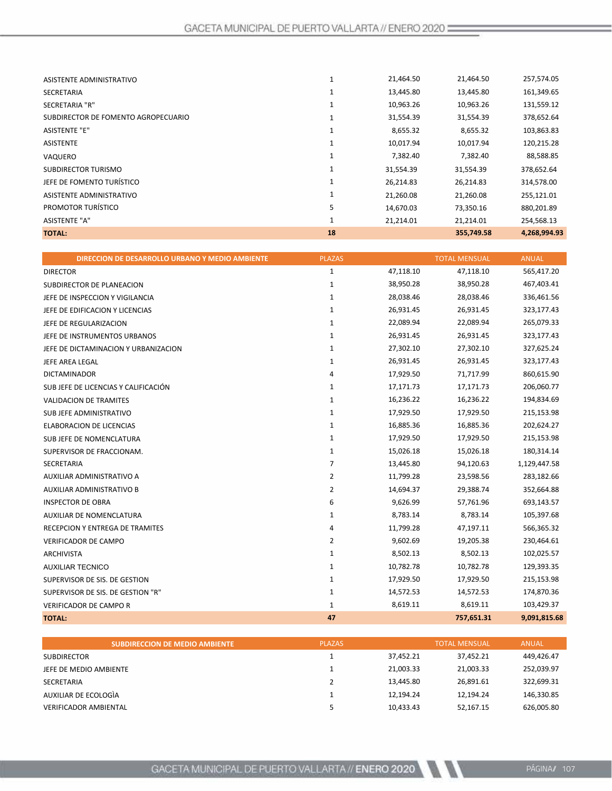| <b>TOTAL:</b>                       | 18           |           | 355,749.58 | 4,268,994.93 |
|-------------------------------------|--------------|-----------|------------|--------------|
| <b>ASISTENTE "A"</b>                | 1            | 21,214.01 | 21,214.01  | 254,568.13   |
| PROMOTOR TURÍSTICO                  | 5            | 14,670.03 | 73,350.16  | 880,201.89   |
| ASISTENTE ADMINISTRATIVO            |              | 21,260.08 | 21,260.08  | 255,121.01   |
| JEFE DE FOMENTO TURÍSTICO           | 1            | 26,214.83 | 26,214.83  | 314,578.00   |
| <b>SUBDIRECTOR TURISMO</b>          | 1            | 31,554.39 | 31,554.39  | 378,652.64   |
| VAQUERO                             |              | 7,382.40  | 7,382.40   | 88,588.85    |
| <b>ASISTENTE</b>                    | 1            | 10,017.94 | 10,017.94  | 120,215.28   |
| <b>ASISTENTE "E"</b>                | $\mathbf{1}$ | 8,655.32  | 8,655.32   | 103,863.83   |
| SUBDIRECTOR DE FOMENTO AGROPECUARIO | $\mathbf{1}$ | 31,554.39 | 31,554.39  | 378,652.64   |
| SECRETARIA "R"                      |              | 10,963.26 | 10,963.26  | 131,559.12   |
| <b>SECRETARIA</b>                   | 1            | 13,445.80 | 13,445.80  | 161,349.65   |
| ASISTENTE ADMINISTRATIVO            | Ŧ.           | 21,464.50 | 21,464.50  | 257,574.05   |
|                                     |              |           |            |              |

| DIRECCION DE DESARROLLO URBANO Y MEDIO AMBIENTE | <b>PLAZAS</b>  |           | <b>TOTAL MENSUAL</b> | <b>ANUAL</b> |
|-------------------------------------------------|----------------|-----------|----------------------|--------------|
| <b>DIRECTOR</b>                                 | 1              | 47,118.10 | 47,118.10            | 565,417.20   |
| SUBDIRECTOR DE PLANEACION                       | 1              | 38,950.28 | 38,950.28            | 467,403.41   |
| JEFE DE INSPECCION Y VIGILANCIA                 | 1              | 28,038.46 | 28,038.46            | 336,461.56   |
| JEFE DE EDIFICACION Y LICENCIAS                 | 1              | 26,931.45 | 26,931.45            | 323,177.43   |
| JEFE DE REGULARIZACION                          | $\mathbf{1}$   | 22,089.94 | 22,089.94            | 265,079.33   |
| JEFE DE INSTRUMENTOS URBANOS                    | 1              | 26,931.45 | 26,931.45            | 323,177.43   |
| JEFE DE DICTAMINACION Y URBANIZACION            | $\mathbf{1}$   | 27,302.10 | 27,302.10            | 327,625.24   |
| JEFE AREA LEGAL                                 | 1              | 26,931.45 | 26,931.45            | 323,177.43   |
| <b>DICTAMINADOR</b>                             | 4              | 17,929.50 | 71,717.99            | 860,615.90   |
| SUB JEFE DE LICENCIAS Y CALIFICACIÓN            | $\mathbf{1}$   | 17,171.73 | 17,171.73            | 206,060.77   |
| <b>VALIDACION DE TRAMITES</b>                   | 1              | 16,236.22 | 16,236.22            | 194,834.69   |
| SUB JEFE ADMINISTRATIVO                         | 1              | 17,929.50 | 17,929.50            | 215,153.98   |
| ELABORACION DE LICENCIAS                        | $\mathbf{1}$   | 16,885.36 | 16,885.36            | 202,624.27   |
| SUB JEFE DE NOMENCLATURA                        | $\mathbf{1}$   | 17,929.50 | 17,929.50            | 215,153.98   |
| SUPERVISOR DE FRACCIONAM.                       | $\mathbf{1}$   | 15,026.18 | 15,026.18            | 180,314.14   |
| <b>SECRETARIA</b>                               | $\overline{7}$ | 13,445.80 | 94,120.63            | 1,129,447.58 |
| AUXILIAR ADMINISTRATIVO A                       | $\overline{2}$ | 11,799.28 | 23,598.56            | 283,182.66   |
| AUXILIAR ADMINISTRATIVO B                       | $\overline{2}$ | 14,694.37 | 29,388.74            | 352,664.88   |
| <b>INSPECTOR DE OBRA</b>                        | 6              | 9,626.99  | 57,761.96            | 693,143.57   |
| AUXILIAR DE NOMENCLATURA                        | $\mathbf{1}$   | 8,783.14  | 8,783.14             | 105,397.68   |
| RECEPCION Y ENTREGA DE TRAMITES                 | 4              | 11,799.28 | 47,197.11            | 566,365.32   |
| VERIFICADOR DE CAMPO                            | $\overline{2}$ | 9,602.69  | 19,205.38            | 230,464.61   |
| ARCHIVISTA                                      | $\mathbf{1}$   | 8,502.13  | 8,502.13             | 102,025.57   |
| <b>AUXILIAR TECNICO</b>                         | $\mathbf{1}$   | 10,782.78 | 10,782.78            | 129,393.35   |
| SUPERVISOR DE SIS. DE GESTION                   | $\mathbf{1}$   | 17,929.50 | 17,929.50            | 215,153.98   |
| SUPERVISOR DE SIS. DE GESTION "R"               | $\mathbf{1}$   | 14,572.53 | 14,572.53            | 174,870.36   |
| VERIFICADOR DE CAMPO R                          | $\mathbf{1}$   | 8,619.11  | 8,619.11             | 103,429.37   |
| <b>TOTAL:</b>                                   | 47             |           | 757,651.31           | 9,091,815.68 |

| <b>SUBDIRECCION DE MEDIO AMBIENTE</b> | <b>PLAZAS</b> |           | <b>TOTAL MENSUAL</b> | <b>ANUAL</b> |
|---------------------------------------|---------------|-----------|----------------------|--------------|
| <b>SUBDIRECTOR</b>                    |               | 37.452.21 | 37.452.21            | 449,426.47   |
| JEFE DE MEDIO AMBIENTE                |               | 21,003.33 | 21.003.33            | 252,039.97   |
| SECRETARIA                            |               | 13,445.80 | 26.891.61            | 322,699.31   |
| AUXILIAR DE ECOLOGIA                  |               | 12.194.24 | 12.194.24            | 146,330.85   |
| <b>VERIFICADOR AMBIENTAL</b>          |               | 10,433.43 | 52.167.15            | 626,005.80   |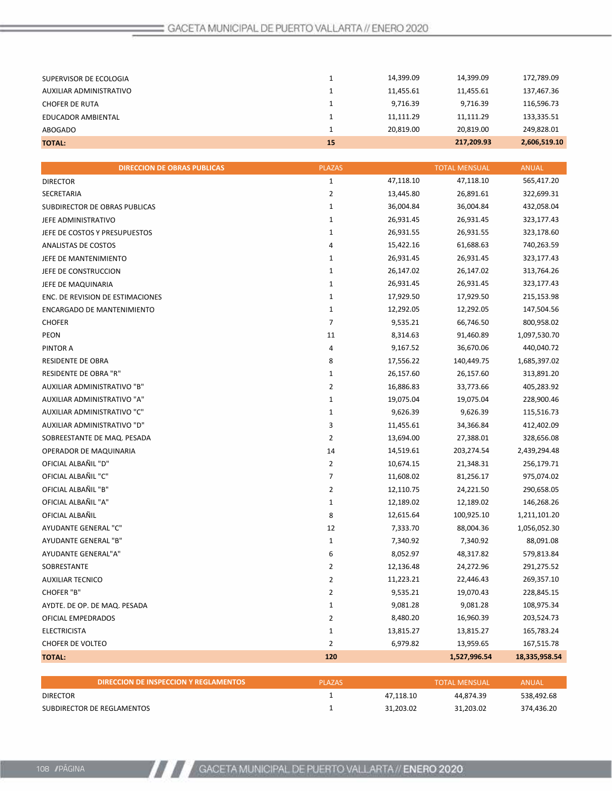| <b>TOTAL:</b>           | 15 |           | 217,209.93 | 2,606,519.10 |
|-------------------------|----|-----------|------------|--------------|
| ABOGADO                 |    | 20.819.00 | 20.819.00  | 249.828.01   |
| EDUCADOR AMBIENTAL      |    | 11.111.29 | 11.111.29  | 133,335.51   |
| <b>CHOFER DE RUTA</b>   |    | 9,716.39  | 9,716.39   | 116,596.73   |
| AUXILIAR ADMINISTRATIVO |    | 11.455.61 | 11.455.61  | 137,467.36   |
| SUPERVISOR DE ECOLOGIA  |    | 14.399.09 | 14.399.09  | 172,789.09   |
|                         |    |           |            |              |

| <b>DIRECCION DE OBRAS PUBLICAS</b> | <b>PLAZAS</b>  |           | <b>TOTAL MENSUAL</b> | <b>ANUAL</b>  |
|------------------------------------|----------------|-----------|----------------------|---------------|
| <b>DIRECTOR</b>                    | $\mathbf{1}$   | 47,118.10 | 47,118.10            | 565,417.20    |
| SECRETARIA                         | $\overline{2}$ | 13,445.80 | 26,891.61            | 322,699.31    |
| SUBDIRECTOR DE OBRAS PUBLICAS      | $\mathbf{1}$   | 36,004.84 | 36,004.84            | 432,058.04    |
| JEFE ADMINISTRATIVO                | $\mathbf{1}$   | 26,931.45 | 26,931.45            | 323,177.43    |
| JEFE DE COSTOS Y PRESUPUESTOS      | $\mathbf{1}$   | 26,931.55 | 26,931.55            | 323,178.60    |
| ANALISTAS DE COSTOS                | 4              | 15,422.16 | 61,688.63            | 740,263.59    |
| JEFE DE MANTENIMIENTO              | $\mathbf 1$    | 26,931.45 | 26,931.45            | 323,177.43    |
| JEFE DE CONSTRUCCION               | $\mathbf 1$    | 26,147.02 | 26,147.02            | 313,764.26    |
| JEFE DE MAQUINARIA                 | $\mathbf{1}$   | 26,931.45 | 26,931.45            | 323,177.43    |
| ENC. DE REVISION DE ESTIMACIONES   | $\mathbf 1$    | 17,929.50 | 17,929.50            | 215,153.98    |
| ENCARGADO DE MANTENIMIENTO         | $\mathbf{1}$   | 12,292.05 | 12,292.05            | 147,504.56    |
| <b>CHOFER</b>                      | $\overline{7}$ | 9,535.21  | 66,746.50            | 800,958.02    |
| <b>PEON</b>                        | 11             | 8,314.63  | 91,460.89            | 1,097,530.70  |
| PINTOR A                           | 4              | 9,167.52  | 36,670.06            | 440,040.72    |
| RESIDENTE DE OBRA                  | 8              | 17,556.22 | 140,449.75           | 1,685,397.02  |
| <b>RESIDENTE DE OBRA "R"</b>       | $\mathbf{1}$   | 26,157.60 | 26,157.60            | 313,891.20    |
| AUXILIAR ADMINISTRATIVO "B"        | $\overline{2}$ | 16,886.83 | 33,773.66            | 405,283.92    |
| AUXILIAR ADMINISTRATIVO "A"        | $\mathbf{1}$   | 19,075.04 | 19,075.04            | 228,900.46    |
| AUXILIAR ADMINISTRATIVO "C"        | $\mathbf{1}$   | 9,626.39  | 9,626.39             | 115,516.73    |
| AUXILIAR ADMINISTRATIVO "D"        | 3              | 11,455.61 | 34,366.84            | 412,402.09    |
| SOBREESTANTE DE MAQ. PESADA        | $\overline{2}$ | 13,694.00 | 27,388.01            | 328,656.08    |
| OPERADOR DE MAQUINARIA             | 14             | 14,519.61 | 203,274.54           | 2,439,294.48  |
| OFICIAL ALBAÑIL "D"                | $\overline{2}$ | 10,674.15 | 21,348.31            | 256,179.71    |
| OFICIAL ALBAÑIL "C"                | 7              | 11,608.02 | 81,256.17            | 975,074.02    |
| OFICIAL ALBAÑIL "B"                | $\overline{2}$ | 12,110.75 | 24,221.50            | 290,658.05    |
| OFICIAL ALBAÑIL "A"                | $\mathbf 1$    | 12,189.02 | 12,189.02            | 146,268.26    |
| OFICIAL ALBAÑIL                    | 8              | 12,615.64 | 100,925.10           | 1,211,101.20  |
| AYUDANTE GENERAL "C"               | 12             | 7,333.70  | 88,004.36            | 1,056,052.30  |
| AYUDANTE GENERAL "B"               | $\mathbf{1}$   | 7,340.92  | 7,340.92             | 88,091.08     |
| AYUDANTE GENERAL"A"                | 6              | 8,052.97  | 48,317.82            | 579,813.84    |
| SOBRESTANTE                        | $\overline{2}$ | 12,136.48 | 24,272.96            | 291,275.52    |
| <b>AUXILIAR TECNICO</b>            | $\overline{2}$ | 11,223.21 | 22,446.43            | 269,357.10    |
| CHOFER "B"                         | $\overline{2}$ | 9,535.21  | 19,070.43            | 228,845.15    |
| AYDTE. DE OP. DE MAQ. PESADA       | $\mathbf{1}$   | 9,081.28  | 9,081.28             | 108,975.34    |
| OFICIAL EMPEDRADOS                 | $\overline{2}$ | 8,480.20  | 16,960.39            | 203,524.73    |
| <b>ELECTRICISTA</b>                | $\mathbf{1}$   | 13,815.27 | 13,815.27            | 165,783.24    |
| <b>CHOFER DE VOLTEO</b>            | $\overline{2}$ | 6,979.82  | 13,959.65            | 167,515.78    |
| <b>TOTAL:</b>                      | 120            |           | 1,527,996.54         | 18,335,958.54 |

| DIRECCION DE INSPECCION Y REGLAMENTOS | <b>PLAZAS</b> |           | <b>TOTAL MENSUAL</b> | ANUAL      |
|---------------------------------------|---------------|-----------|----------------------|------------|
| <b>DIRECTOR</b>                       |               | 47.118.10 | 44.874.39            | 538,492.68 |
| SUBDIRECTOR DE REGLAMENTOS            |               | 31.203.02 | 31.203.02            | 374.436.20 |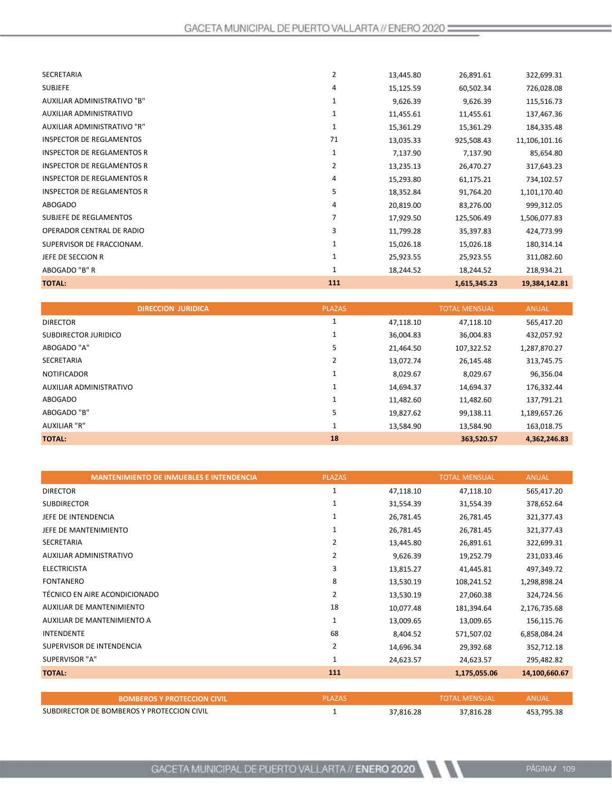| <b>TOTAL:</b>                     | 111          |           | 1,615,345.23 | 19,384,142.81 |
|-----------------------------------|--------------|-----------|--------------|---------------|
| ABOGADO "B" R                     | $\mathbf{1}$ | 18,244.52 | 18,244.52    | 218,934.21    |
| JEFE DE SECCION R                 |              | 25,923.55 | 25,923.55    | 311,082.60    |
| SUPERVISOR DE FRACCIONAM.         |              | 15,026.18 | 15,026.18    | 180,314.14    |
| OPERADOR CENTRAL DE RADIO         | 3            | 11,799.28 | 35,397.83    | 424,773.99    |
| <b>SUBJEFE DE REGLAMENTOS</b>     | 7            | 17,929.50 | 125,506.49   | 1,506,077.83  |
| <b>ABOGADO</b>                    | 4            | 20,819.00 | 83,276.00    | 999,312.05    |
| <b>INSPECTOR DE REGLAMENTOS R</b> | 5            | 18,352.84 | 91,764.20    | 1,101,170.40  |
| <b>INSPECTOR DE REGLAMENTOS R</b> | 4            | 15,293.80 | 61,175.21    | 734,102.57    |
| <b>INSPECTOR DE REGLAMENTOS R</b> | 2            | 13,235.13 | 26,470.27    | 317,643.23    |
| <b>INSPECTOR DE REGLAMENTOS R</b> | 1            | 7,137.90  | 7,137.90     | 85,654.80     |
| <b>INSPECTOR DE REGLAMENTOS</b>   | 71           | 13,035.33 | 925,508.43   | 11,106,101.16 |
| AUXILIAR ADMINISTRATIVO "R"       | 1            | 15,361.29 | 15,361.29    | 184,335.48    |
| AUXILIAR ADMINISTRATIVO           | 1            | 11,455.61 | 11,455.61    | 137,467.36    |
| AUXILIAR ADMINISTRATIVO "B"       | 1            | 9,626.39  | 9,626.39     | 115,516.73    |
| <b>SUBJEFE</b>                    | 4            | 15,125.59 | 60,502.34    | 726,028.08    |
| <b>SECRETARIA</b>                 | 2            | 13,445.80 | 26,891.61    | 322,699.31    |
|                                   |              |           |              |               |

| <b>DIRECCION JURIDICA</b> | <b>PLAZAS</b> |           | <b>TOTAL MENSUAL</b> | <b>ANUAL</b> |
|---------------------------|---------------|-----------|----------------------|--------------|
| <b>DIRECTOR</b>           |               | 47,118.10 | 47,118.10            | 565,417.20   |
| SUBDIRECTOR JURIDICO      |               | 36,004.83 | 36,004.83            | 432,057.92   |
| ABOGADO "A"               | 5             | 21,464.50 | 107,322.52           | 1,287,870.27 |
| <b>SECRETARIA</b>         | 2             | 13,072.74 | 26,145.48            | 313,745.75   |
| <b>NOTIFICADOR</b>        |               | 8,029.67  | 8,029.67             | 96,356.04    |
| AUXILIAR ADMINISTRATIVO   | Ŧ             | 14,694.37 | 14,694.37            | 176,332.44   |
| ABOGADO                   | Ŧ.            | 11,482.60 | 11,482.60            | 137,791.21   |
| ABOGADO "B"               | 5             | 19,827.62 | 99,138.11            | 1,189,657.26 |
| <b>AUXILIAR "R"</b>       | Ŧ             | 13,584.90 | 13,584.90            | 163,018.75   |
| <b>TOTAL:</b>             | 18            |           | 363,520.57           | 4,362,246.83 |

| <b>MANTENIMIENTO DE INMUEBLES E INTENDENCIA</b> | <b>PLAZAS</b>  |           | <b>TOTAL MENSUAL</b> | <b>ANUAL</b>  |
|-------------------------------------------------|----------------|-----------|----------------------|---------------|
| <b>DIRECTOR</b>                                 | 1              | 47,118.10 | 47,118.10            | 565,417.20    |
| <b>SUBDIRECTOR</b>                              |                | 31,554.39 | 31,554.39            | 378,652.64    |
| JEFE DE INTENDENCIA                             | 1              | 26,781.45 | 26,781.45            | 321,377.43    |
| JEFE DE MANTENIMIENTO                           | 1              | 26,781.45 | 26,781.45            | 321,377.43    |
| <b>SECRETARIA</b>                               | 2              | 13,445.80 | 26,891.61            | 322,699.31    |
| AUXILIAR ADMINISTRATIVO                         | 2              | 9,626.39  | 19,252.79            | 231,033.46    |
| <b>ELECTRICISTA</b>                             | 3              | 13,815.27 | 41,445.81            | 497,349.72    |
| <b>FONTANERO</b>                                | 8              | 13,530.19 | 108,241.52           | 1,298,898.24  |
| TÉCNICO EN AIRE ACONDICIONADO                   | 2              | 13,530.19 | 27,060.38            | 324,724.56    |
| <b>AUXILIAR DE MANTENIMIENTO</b>                | 18             | 10,077.48 | 181,394.64           | 2,176,735.68  |
| AUXILIAR DE MANTENIMIENTO A                     | $\mathbf{1}$   | 13,009.65 | 13,009.65            | 156,115.76    |
| <b>INTENDENTE</b>                               | 68             | 8,404.52  | 571,507.02           | 6,858,084.24  |
| SUPERVISOR DE INTENDENCIA                       | $\overline{2}$ | 14,696.34 | 29,392.68            | 352,712.18    |
| SUPERVISOR "A"                                  | 1              | 24,623.57 | 24,623.57            | 295,482.82    |
| <b>TOTAL:</b>                                   | 111            |           | 1,175,055.06         | 14,100,660.67 |
|                                                 |                |           |                      |               |
|                                                 |                |           |                      |               |

| <b>BOMBEROS Y PROTECCION CIVIL \</b>       | PI AZAS |           | TOTAL MENSUAL! | <b>ANUAI</b> |
|--------------------------------------------|---------|-----------|----------------|--------------|
| SUBDIRECTOR DE BOMBEROS Y PROTECCION CIVIL |         | 37.816.28 | 37.816.28      | 453 795 38   |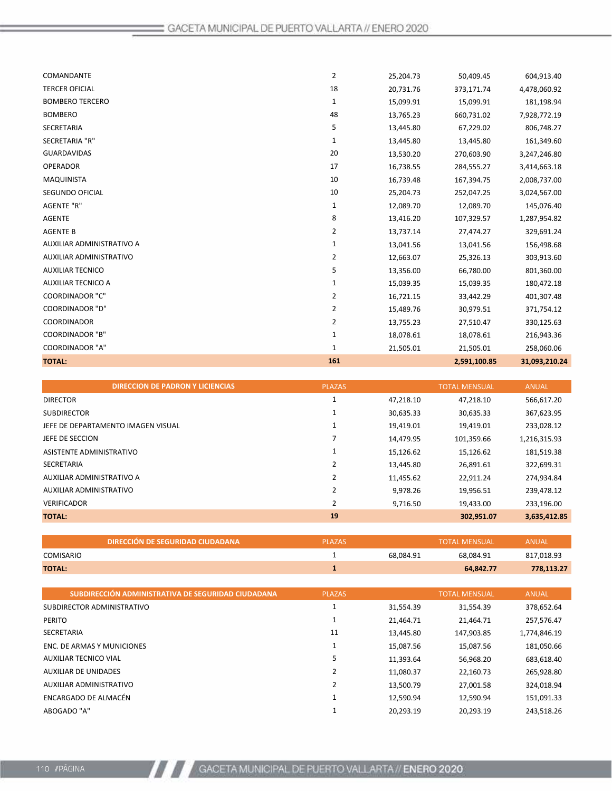| COMANDANTE                | $\overline{2}$ | 25,204.73 | 50,409.45    | 604,913.40    |
|---------------------------|----------------|-----------|--------------|---------------|
| <b>TERCER OFICIAL</b>     | 18             | 20,731.76 | 373,171.74   | 4,478,060.92  |
| <b>BOMBERO TERCERO</b>    | 1              | 15,099.91 | 15,099.91    | 181,198.94    |
| <b>BOMBERO</b>            | 48             | 13,765.23 | 660,731.02   | 7,928,772.19  |
| SECRETARIA                | 5              | 13,445.80 | 67,229.02    | 806,748.27    |
| SECRETARIA "R"            | 1              | 13,445.80 | 13,445.80    | 161,349.60    |
| <b>GUARDAVIDAS</b>        | 20             | 13,530.20 | 270,603.90   | 3,247,246.80  |
| <b>OPERADOR</b>           | 17             | 16,738.55 | 284,555.27   | 3,414,663.18  |
| <b>MAQUINISTA</b>         | 10             | 16,739.48 | 167,394.75   | 2,008,737.00  |
| SEGUNDO OFICIAL           | 10             | 25,204.73 | 252,047.25   | 3,024,567.00  |
| <b>AGENTE "R"</b>         | 1              | 12,089.70 | 12,089.70    | 145,076.40    |
| <b>AGENTE</b>             | 8              | 13,416.20 | 107,329.57   | 1,287,954.82  |
| <b>AGENTE B</b>           | 2              | 13,737.14 | 27,474.27    | 329,691.24    |
| AUXILIAR ADMINISTRATIVO A | 1              | 13,041.56 | 13,041.56    | 156,498.68    |
| AUXILIAR ADMINISTRATIVO   | 2              | 12,663.07 | 25,326.13    | 303,913.60    |
| <b>AUXILIAR TECNICO</b>   | 5              | 13,356.00 | 66,780.00    | 801,360.00    |
| <b>AUXILIAR TECNICO A</b> | 1              | 15,039.35 | 15,039.35    | 180,472.18    |
| <b>COORDINADOR "C"</b>    | 2              | 16,721.15 | 33,442.29    | 401,307.48    |
| <b>COORDINADOR "D"</b>    | 2              | 15,489.76 | 30,979.51    | 371,754.12    |
| COORDINADOR               | 2              | 13,755.23 | 27,510.47    | 330,125.63    |
| <b>COORDINADOR "B"</b>    | 1              | 18,078.61 | 18,078.61    | 216,943.36    |
| <b>COORDINADOR "A"</b>    | 1              | 21,505.01 | 21,505.01    | 258,060.06    |
| <b>TOTAL:</b>             | 161            |           | 2,591,100.85 | 31,093,210.24 |

| <b>DIRECCION DE PADRON Y LICIENCIAS</b> | <b>PLAZAS</b>                                                                                                          |           | <b>TOTAL MENSUAL</b> | <b>ANUAL</b> |
|-----------------------------------------|------------------------------------------------------------------------------------------------------------------------|-----------|----------------------|--------------|
|                                         |                                                                                                                        | 47,218.10 | 47,218.10            | 566,617.20   |
|                                         |                                                                                                                        | 30,635.33 | 30,635.33            | 367,623.95   |
|                                         | 1                                                                                                                      | 19,419.01 | 19,419.01            | 233,028.12   |
|                                         |                                                                                                                        | 14,479.95 | 101,359.66           | 1,216,315.93 |
|                                         |                                                                                                                        | 15,126.62 | 15,126.62            | 181,519.38   |
|                                         | 2                                                                                                                      | 13,445.80 | 26,891.61            | 322,699.31   |
|                                         |                                                                                                                        | 11,455.62 | 22,911.24            | 274,934.84   |
|                                         | 2                                                                                                                      | 9.978.26  | 19,956.51            | 239,478.12   |
|                                         | 2                                                                                                                      | 9,716.50  | 19,433.00            | 233,196.00   |
|                                         | 19                                                                                                                     |           | 302,951.07           | 3,635,412.85 |
|                                         | JEFE DE DEPARTAMENTO IMAGEN VISUAL<br>ASISTENTE ADMINISTRATIVO<br>AUXILIAR ADMINISTRATIVO A<br>AUXILIAR ADMINISTRATIVO |           |                      |              |

|                  | DIRECCIÓN DE SEGURIDAD CIUDADANA | <b>PLAZAS</b> |           | <b>TOTAL MENSUAL</b> | ANUAL      |
|------------------|----------------------------------|---------------|-----------|----------------------|------------|
| <b>COMISARIO</b> |                                  |               | 68.084.91 | 68.084.91            | 817,018.93 |
| <b>TOTAL:</b>    |                                  |               |           | 64.842.77            | 778,113.27 |

| SUBDIRECCIÓN ADMINISTRATIVA DE SEGURIDAD CIUDADANA | <b>PLAZAS</b> |           | <b>TOTAL MENSUAL</b> | <b>ANUAL</b> |
|----------------------------------------------------|---------------|-----------|----------------------|--------------|
| SUBDIRECTOR ADMINISTRATIVO                         |               | 31,554.39 | 31,554.39            | 378,652.64   |
| PERITO                                             |               | 21,464.71 | 21.464.71            | 257,576.47   |
| <b>SECRETARIA</b>                                  | 11            | 13,445.80 | 147,903.85           | 1,774,846.19 |
| ENC. DE ARMAS Y MUNICIONES                         |               | 15,087.56 | 15,087.56            | 181,050.66   |
| AUXILIAR TECNICO VIAL                              | 5             | 11,393.64 | 56,968.20            | 683,618.40   |
| AUXILIAR DE UNIDADES                               | 2             | 11,080.37 | 22.160.73            | 265,928.80   |
| AUXILIAR ADMINISTRATIVO                            |               | 13,500.79 | 27,001.58            | 324,018.94   |
| ENCARGADO DE ALMACÉN                               |               | 12.590.94 | 12,590.94            | 151,091.33   |
| ABOGADO "A"                                        |               | 20,293.19 | 20,293.19            | 243,518.26   |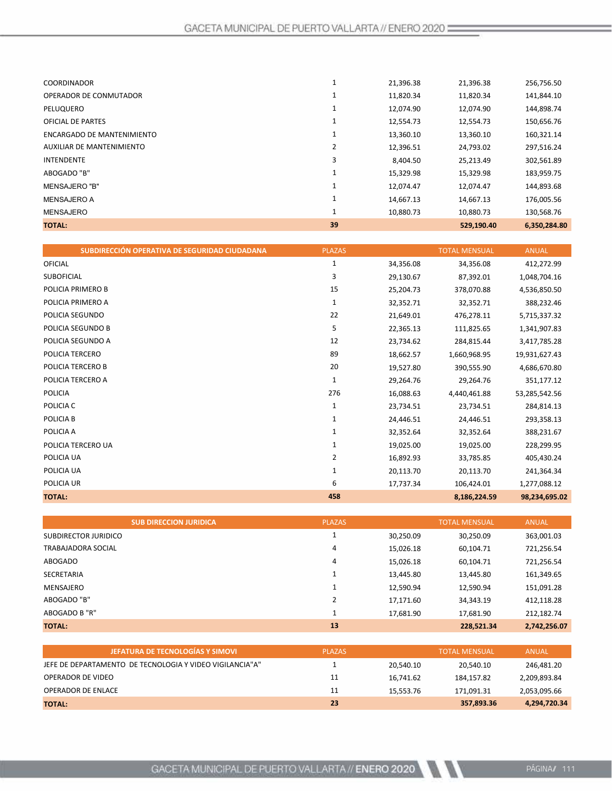| <b>TOTAL:</b>              | 39 |           | 529,190.40 | 6,350,284.80 |
|----------------------------|----|-----------|------------|--------------|
| MENSAJERO                  |    | 10,880.73 | 10,880.73  | 130,568.76   |
| <b>MENSAJERO A</b>         |    | 14,667.13 | 14,667.13  | 176,005.56   |
| <b>MENSAJERO "B"</b>       | 1  | 12.074.47 | 12.074.47  | 144,893.68   |
| ABOGADO "B"                | 1  | 15,329.98 | 15,329.98  | 183,959.75   |
| <b>INTENDENTE</b>          | 3  | 8,404.50  | 25,213.49  | 302,561.89   |
| AUXILIAR DE MANTENIMIENTO  | 2  | 12,396.51 | 24,793.02  | 297,516.24   |
| ENCARGADO DE MANTENIMIENTO |    | 13,360.10 | 13,360.10  | 160,321.14   |
| <b>OFICIAL DE PARTES</b>   |    | 12,554.73 | 12,554.73  | 150,656.76   |
| PELUQUERO                  | 1  | 12,074.90 | 12,074.90  | 144,898.74   |
| OPERADOR DE CONMUTADOR     | ┸  | 11,820.34 | 11,820.34  | 141,844.10   |
| <b>COORDINADOR</b>         |    | 21,396.38 | 21,396.38  | 256,756.50   |
|                            |    |           |            |              |

| SUBDIRECCIÓN OPERATIVA DE SEGURIDAD CIUDADANA | <b>PLAZAS</b> |           | <b>TOTAL MENSUAL</b> | <b>ANUAL</b>  |
|-----------------------------------------------|---------------|-----------|----------------------|---------------|
| <b>OFICIAL</b>                                | 1             | 34,356.08 | 34,356.08            | 412,272.99    |
| <b>SUBOFICIAL</b>                             | 3             | 29,130.67 | 87,392.01            | 1,048,704.16  |
| POLICIA PRIMERO B                             | 15            | 25,204.73 | 378,070.88           | 4,536,850.50  |
| POLICIA PRIMERO A                             | 1             | 32,352.71 | 32,352.71            | 388,232.46    |
| POLICIA SEGUNDO                               | 22            | 21,649.01 | 476,278.11           | 5,715,337.32  |
| POLICIA SEGUNDO B                             | 5             | 22,365.13 | 111,825.65           | 1,341,907.83  |
| POLICIA SEGUNDO A                             | 12            | 23,734.62 | 284,815.44           | 3,417,785.28  |
| POLICIA TERCERO                               | 89            | 18,662.57 | 1,660,968.95         | 19,931,627.43 |
| POLICIA TERCERO B                             | 20            | 19,527.80 | 390,555.90           | 4,686,670.80  |
| POLICIA TERCERO A                             | 1             | 29,264.76 | 29,264.76            | 351,177.12    |
| <b>POLICIA</b>                                | 276           | 16,088.63 | 4,440,461.88         | 53,285,542.56 |
| POLICIA C                                     | 1             | 23,734.51 | 23,734.51            | 284,814.13    |
| POLICIA B                                     | 1             | 24,446.51 | 24,446.51            | 293,358.13    |
| POLICIA A                                     | 1             | 32,352.64 | 32,352.64            | 388,231.67    |
| POLICIA TERCERO UA                            | $\mathbf{1}$  | 19,025.00 | 19,025.00            | 228,299.95    |
| POLICIA UA                                    | 2             | 16,892.93 | 33,785.85            | 405,430.24    |
| POLICIA UA                                    | 1             | 20,113.70 | 20,113.70            | 241,364.34    |
| POLICIA UR                                    | 6             | 17,737.34 | 106,424.01           | 1,277,088.12  |
| <b>TOTAL:</b>                                 | 458           |           | 8,186,224.59         | 98,234,695.02 |

|                      | <b>SUB DIRECCION JURIDICA</b> | <b>PLAZAS</b> |           | <b>TOTAL MENSUAL</b> | <b>ANUAL</b> |
|----------------------|-------------------------------|---------------|-----------|----------------------|--------------|
| SUBDIRECTOR JURIDICO |                               |               | 30,250.09 | 30,250.09            | 363,001.03   |
| TRABAJADORA SOCIAL   |                               | 4             | 15,026.18 | 60,104.71            | 721,256.54   |
| <b>ABOGADO</b>       |                               | 4             | 15,026.18 | 60,104.71            | 721,256.54   |
| <b>SECRETARIA</b>    |                               |               | 13,445.80 | 13,445.80            | 161,349.65   |
| MENSAJERO            |                               |               | 12,590.94 | 12,590.94            | 151,091.28   |
| ABOGADO "B"          |                               |               | 17,171.60 | 34,343.19            | 412,118.28   |
| ABOGADO B "R"        |                               |               | 17,681.90 | 17,681.90            | 212,182.74   |
| <b>TOTAL:</b>        |                               | 13            |           | 228,521.34           | 2,742,256.07 |

| <b>JEFATURA DE TECNOLOGÍAS Y SIMOVI</b>                  | <b>PLAZAS</b> |           | <b>TOTAL MENSUAL</b> | ANUAL        |
|----------------------------------------------------------|---------------|-----------|----------------------|--------------|
| JEFE DE DEPARTAMENTO DE TECNOLOGIA Y VIDEO VIGILANCIA"A" |               | 20.540.10 | 20.540.10            | 246,481.20   |
| OPERADOR DE VIDEO                                        | 11            | 16.741.62 | 184.157.82           | 2,209,893.84 |
| OPERADOR DE ENLACE                                       | 11            | 15.553.76 | 171.091.31           | 2,053,095.66 |
| <b>TOTAL:</b>                                            | 23            |           | 357,893.36           | 4,294,720.34 |
|                                                          |               |           |                      |              |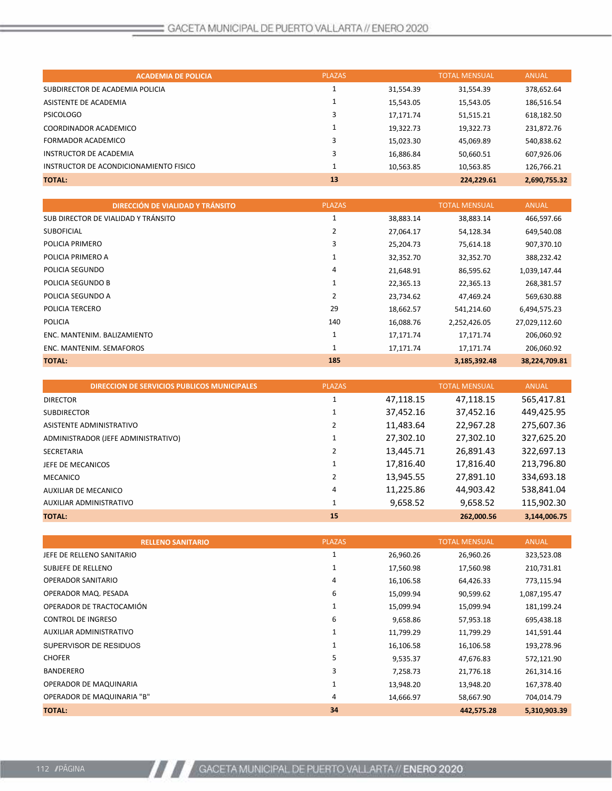| <b>PLAZAS</b><br><b>TOTAL MENSUAL</b><br><b>ANUAL</b><br><b>ACADEMIA DE POLICIA</b><br>SUBDIRECTOR DE ACADEMIA POLICIA<br>31,554.39<br>378,652.64<br>31,554.39<br>ASISTENTE DE ACADEMIA<br>15,543.05<br>15,543.05<br>186,516.54<br><b>PSICOLOGO</b><br>51,515.21<br>618,182.50<br>17,171.74<br>COORDINADOR ACADEMICO<br>19,322.73<br>19,322.73<br>231,872.76<br>FORMADOR ACADEMICO<br>15,023.30<br>45,069.89<br>540,838.62<br>INSTRUCTOR DE ACADEMIA<br>16,886.84<br>607,926.06<br>50,660.51<br>INSTRUCTOR DE ACONDICIONAMIENTO FISICO<br>10,563.85<br>10,563.85<br>126,766.21<br>13<br><b>TOTAL:</b><br>2,690,755.32<br>224,229.61 |  |  |  |
|-------------------------------------------------------------------------------------------------------------------------------------------------------------------------------------------------------------------------------------------------------------------------------------------------------------------------------------------------------------------------------------------------------------------------------------------------------------------------------------------------------------------------------------------------------------------------------------------------------------------------------------|--|--|--|
|                                                                                                                                                                                                                                                                                                                                                                                                                                                                                                                                                                                                                                     |  |  |  |
|                                                                                                                                                                                                                                                                                                                                                                                                                                                                                                                                                                                                                                     |  |  |  |
|                                                                                                                                                                                                                                                                                                                                                                                                                                                                                                                                                                                                                                     |  |  |  |
|                                                                                                                                                                                                                                                                                                                                                                                                                                                                                                                                                                                                                                     |  |  |  |
|                                                                                                                                                                                                                                                                                                                                                                                                                                                                                                                                                                                                                                     |  |  |  |
|                                                                                                                                                                                                                                                                                                                                                                                                                                                                                                                                                                                                                                     |  |  |  |
|                                                                                                                                                                                                                                                                                                                                                                                                                                                                                                                                                                                                                                     |  |  |  |
|                                                                                                                                                                                                                                                                                                                                                                                                                                                                                                                                                                                                                                     |  |  |  |
|                                                                                                                                                                                                                                                                                                                                                                                                                                                                                                                                                                                                                                     |  |  |  |

|                             | <b>DIRECCIÓN DE VIALIDAD Y TRÁNSITO</b> | <b>PLAZAS</b> |           | <b>TOTAL MENSUAL</b> | <b>ANUAL</b>  |
|-----------------------------|-----------------------------------------|---------------|-----------|----------------------|---------------|
|                             | SUB DIRECTOR DE VIALIDAD Y TRÁNSITO     | 1             | 38,883.14 | 38,883.14            | 466,597.66    |
| <b>SUBOFICIAL</b>           |                                         | 2             | 27,064.17 | 54,128.34            | 649,540.08    |
| POLICIA PRIMERO             |                                         | 3             | 25,204.73 | 75,614.18            | 907,370.10    |
| POLICIA PRIMERO A           |                                         | 1             | 32,352.70 | 32,352.70            | 388,232.42    |
| POLICIA SEGUNDO             |                                         | 4             | 21,648.91 | 86,595.62            | 1,039,147.44  |
| POLICIA SEGUNDO B           |                                         | 1             | 22,365.13 | 22,365.13            | 268,381.57    |
| POLICIA SEGUNDO A           |                                         | 2             | 23,734.62 | 47,469.24            | 569,630.88    |
| POLICIA TERCERO             |                                         | 29            | 18,662.57 | 541,214.60           | 6,494,575.23  |
| <b>POLICIA</b>              |                                         | 140           | 16,088.76 | 2,252,426.05         | 27,029,112.60 |
| ENC. MANTENIM. BALIZAMIENTO |                                         | 1             | 17,171.74 | 17,171.74            | 206,060.92    |
| ENC. MANTENIM. SEMAFOROS    |                                         | 1             | 17,171.74 | 17,171.74            | 206,060.92    |
| <b>TOTAL:</b>               |                                         | 185           |           | 3,185,392.48         | 38,224,709.81 |

| <b>DIRECCION DE SERVICIOS PUBLICOS MUNICIPALES</b> | <b>PLAZAS</b> |           | <b>TOTAL MENSUAL</b> | <b>ANUAL</b> |
|----------------------------------------------------|---------------|-----------|----------------------|--------------|
| <b>DIRECTOR</b>                                    | 1             | 47,118.15 | 47,118.15            | 565,417.81   |
| <b>SUBDIRECTOR</b>                                 |               | 37,452.16 | 37,452.16            | 449,425.95   |
| ASISTENTE ADMINISTRATIVO                           |               | 11,483.64 | 22,967.28            | 275,607.36   |
| ADMINISTRADOR (JEFE ADMINISTRATIVO)                | 1             | 27,302.10 | 27,302.10            | 327,625.20   |
| SECRETARIA                                         | 2             | 13,445.71 | 26,891.43            | 322,697.13   |
| JEFE DE MECANICOS                                  |               | 17,816.40 | 17,816.40            | 213,796.80   |
| <b>MECANICO</b>                                    |               | 13,945.55 | 27,891.10            | 334,693.18   |
| <b>AUXILIAR DE MECANICO</b>                        | 4             | 11,225.86 | 44,903.42            | 538,841.04   |
| AUXILIAR ADMINISTRATIVO                            | 1             | 9,658.52  | 9,658.52             | 115,902.30   |
| <b>TOTAL:</b>                                      | 15            |           | 262.000.56           | 3,144,006.75 |

| <b>RELLENO SANITARIO</b>   | <b>PLAZAS</b> |           | <b>TOTAL MENSUAL</b> | <b>ANUAL</b> |
|----------------------------|---------------|-----------|----------------------|--------------|
| JEFE DE RELLENO SANITARIO  | 1             | 26,960.26 | 26,960.26            | 323,523.08   |
| SUBJEFE DE RELLENO         | 1             | 17,560.98 | 17,560.98            | 210,731.81   |
| OPERADOR SANITARIO         | 4             | 16,106.58 | 64,426.33            | 773,115.94   |
| OPERADOR MAQ. PESADA       | 6             | 15,099.94 | 90,599.62            | 1,087,195.47 |
| OPERADOR DE TRACTOCAMIÓN   | 1             | 15,099.94 | 15,099.94            | 181,199.24   |
| <b>CONTROL DE INGRESO</b>  | 6             | 9,658.86  | 57,953.18            | 695,438.18   |
| AUXILIAR ADMINISTRATIVO    |               | 11,799.29 | 11,799.29            | 141,591.44   |
| SUPERVISOR DE RESIDUOS     | 1             | 16,106.58 | 16,106.58            | 193,278.96   |
| <b>CHOFER</b>              | 5             | 9,535.37  | 47,676.83            | 572,121.90   |
| <b>BANDERERO</b>           | 3             | 7,258.73  | 21,776.18            | 261,314.16   |
| OPERADOR DE MAQUINARIA     | 1             | 13,948.20 | 13,948.20            | 167,378.40   |
| OPERADOR DE MAQUINARIA "B" | 4             | 14,666.97 | 58,667.90            | 704,014.79   |
| <b>TOTAL:</b>              | 34            |           | 442,575.28           | 5,310,903.39 |

 $\boldsymbol{H}$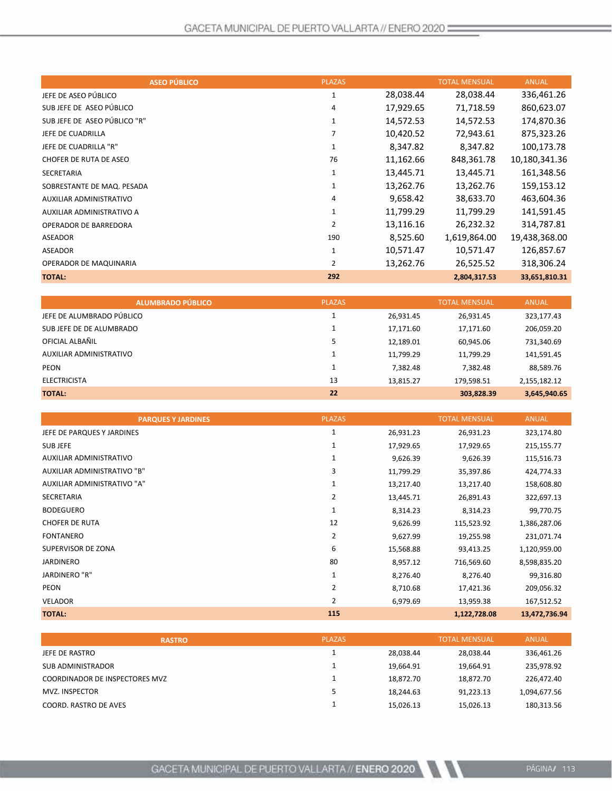| <b>ASEO PÚBLICO</b>          | <b>PLAZAS</b>  |           | <b>TOTAL MENSUAL</b> | <b>ANUAL</b>  |
|------------------------------|----------------|-----------|----------------------|---------------|
| JEFE DE ASEO PÚBLICO         | 1              | 28,038.44 | 28,038.44            | 336,461.26    |
| SUBJEFE DE ASEO PÚBLICO      | 4              | 17,929.65 | 71,718.59            | 860,623.07    |
| SUB JEFE DE ASEO PÚBLICO "R" | $\mathbf{1}$   | 14,572.53 | 14,572.53            | 174,870.36    |
| JEFE DE CUADRILLA            |                | 10,420.52 | 72,943.61            | 875,323.26    |
| JEFE DE CUADRILLA "R"        | 1              | 8,347.82  | 8,347.82             | 100,173.78    |
| CHOFER DE RUTA DE ASEO       | 76             | 11,162.66 | 848,361.78           | 10,180,341.36 |
| <b>SECRETARIA</b>            | 1              | 13,445.71 | 13,445.71            | 161,348.56    |
| SOBRESTANTE DE MAQ. PESADA   | 1              | 13,262.76 | 13,262.76            | 159,153.12    |
| AUXILIAR ADMINISTRATIVO      | 4              | 9,658.42  | 38,633.70            | 463,604.36    |
| AUXILIAR ADMINISTRATIVO A    | 1              | 11,799.29 | 11,799.29            | 141,591.45    |
| <b>OPERADOR DE BARREDORA</b> | 2              | 13,116.16 | 26,232.32            | 314,787.81    |
| ASEADOR                      | 190            | 8,525.60  | 1,619,864.00         | 19,438,368.00 |
| <b>ASEADOR</b>               | 1              | 10,571.47 | 10,571.47            | 126,857.67    |
| OPERADOR DE MAQUINARIA       | $\overline{2}$ | 13,262.76 | 26,525.52            | 318,306.24    |
| <b>TOTAL:</b>                | 292            |           | 2,804,317.53         | 33,651,810.31 |

| <b>ALUMBRADO PÚBLICO</b>  | <b>PLAZAS</b> |           | <b>TOTAL MENSUAL</b> | <b>ANUAL</b> |
|---------------------------|---------------|-----------|----------------------|--------------|
| JEFE DE ALUMBRADO PÚBLICO |               | 26,931.45 | 26,931.45            | 323,177.43   |
| SUB JEFE DE DE ALUMBRADO  |               | 17,171.60 | 17,171.60            | 206,059.20   |
| OFICIAL ALBAÑIL           |               | 12,189.01 | 60,945.06            | 731,340.69   |
| AUXILIAR ADMINISTRATIVO   |               | 11,799.29 | 11,799.29            | 141,591.45   |
| <b>PEON</b>               |               | 7,382.48  | 7,382.48             | 88,589.76    |
| <b>ELECTRICISTA</b>       | 13            | 13.815.27 | 179.598.51           | 2,155,182.12 |
| <b>TOTAL:</b>             | 22            |           | 303,828.39           | 3,645,940.65 |

| <b>PARQUES Y JARDINES</b>   | <b>PLAZAS</b>  |           | <b>TOTAL MENSUAL</b> | <b>ANUAL</b>  |
|-----------------------------|----------------|-----------|----------------------|---------------|
| JEFE DE PARQUES Y JARDINES  | 1              | 26,931.23 | 26,931.23            | 323,174.80    |
| <b>SUBJEFE</b>              | 1              | 17,929.65 | 17,929.65            | 215,155.77    |
| AUXILIAR ADMINISTRATIVO     | 1              | 9,626.39  | 9,626.39             | 115,516.73    |
| AUXILIAR ADMINISTRATIVO "B" | 3              | 11,799.29 | 35,397.86            | 424,774.33    |
| AUXILIAR ADMINISTRATIVO "A" | 1              | 13,217.40 | 13,217.40            | 158,608.80    |
| SECRETARIA                  | 2              | 13,445.71 | 26,891.43            | 322,697.13    |
| <b>BODEGUERO</b>            | 1              | 8,314.23  | 8,314.23             | 99,770.75     |
| <b>CHOFER DE RUTA</b>       | 12             | 9,626.99  | 115,523.92           | 1,386,287.06  |
| <b>FONTANERO</b>            | 2              | 9,627.99  | 19,255.98            | 231,071.74    |
| SUPERVISOR DE ZONA          | 6              | 15,568.88 | 93,413.25            | 1,120,959.00  |
| JARDINERO                   | 80             | 8,957.12  | 716,569.60           | 8,598,835.20  |
| JARDINERO "R"               | 1              | 8,276.40  | 8,276.40             | 99,316.80     |
| <b>PEON</b>                 | $\overline{2}$ | 8,710.68  | 17,421.36            | 209,056.32    |
| <b>VELADOR</b>              | 2              | 6,979.69  | 13,959.38            | 167,512.52    |
| <b>TOTAL:</b>               | 115            |           | 1,122,728.08         | 13,472,736.94 |

| <b>RASTRO</b>                         | <b>PLAZAS</b> |           | <b>TOTAL MENSUAL</b> | <b>ANUAL</b> |
|---------------------------------------|---------------|-----------|----------------------|--------------|
| JEFE DE RASTRO                        |               | 28.038.44 | 28,038.44            | 336,461.26   |
| SUB ADMINISTRADOR                     |               | 19.664.91 | 19.664.91            | 235,978.92   |
| <b>COORDINADOR DE INSPECTORES MVZ</b> |               | 18.872.70 | 18.872.70            | 226,472.40   |
| MVZ. INSPECTOR                        |               | 18.244.63 | 91.223.13            | 1,094,677.56 |
| COORD. RASTRO DE AVES                 |               | 15.026.13 | 15.026.13            | 180,313.56   |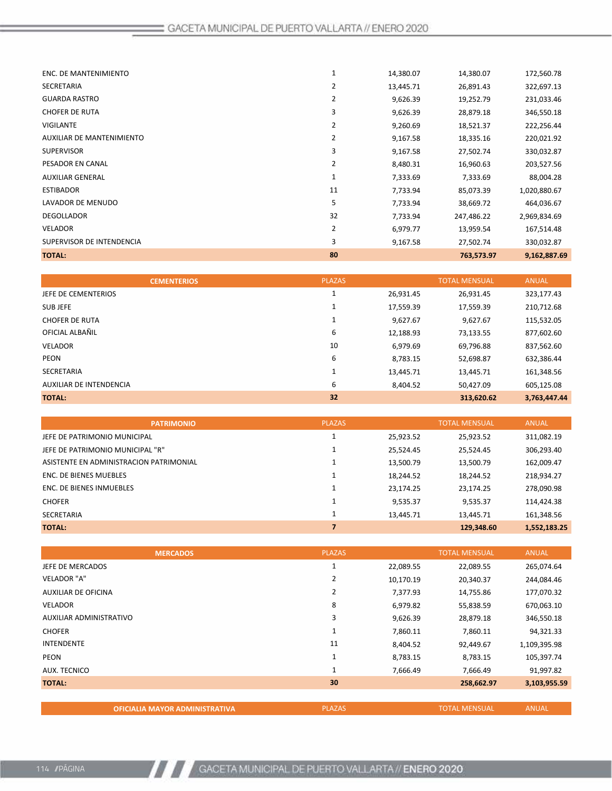| <b>TOTAL:</b>             | 80             |           | 763,573.97 | 9,162,887.69 |
|---------------------------|----------------|-----------|------------|--------------|
| SUPERVISOR DE INTENDENCIA | 3              | 9,167.58  | 27,502.74  | 330,032.87   |
| <b>VELADOR</b>            | $\overline{2}$ | 6,979.77  | 13,959.54  | 167,514.48   |
| <b>DEGOLLADOR</b>         | 32             | 7,733.94  | 247,486.22 | 2,969,834.69 |
| LAVADOR DE MENUDO         | 5              | 7,733.94  | 38,669.72  | 464,036.67   |
| <b>ESTIBADOR</b>          | 11             | 7,733.94  | 85,073.39  | 1,020,880.67 |
| <b>AUXILIAR GENERAL</b>   | 1              | 7,333.69  | 7,333.69   | 88,004.28    |
| PESADOR EN CANAL          | 2              | 8,480.31  | 16,960.63  | 203,527.56   |
| <b>SUPERVISOR</b>         | 3              | 9,167.58  | 27,502.74  | 330,032.87   |
| AUXILIAR DE MANTENIMIENTO | 2              | 9,167.58  | 18,335.16  | 220,021.92   |
| <b>VIGILANTE</b>          | $\overline{2}$ | 9,260.69  | 18,521.37  | 222,256.44   |
| <b>CHOFER DE RUTA</b>     | 3              | 9,626.39  | 28,879.18  | 346,550.18   |
| <b>GUARDA RASTRO</b>      | $\overline{2}$ | 9,626.39  | 19,252.79  | 231,033.46   |
| <b>SECRETARIA</b>         | 2              | 13,445.71 | 26,891.43  | 322,697.13   |
| ENC. DE MANTENIMIENTO     |                | 14,380.07 | 14,380.07  | 172,560.78   |
|                           |                |           |            |              |

|                         | <b>CEMENTERIOS</b> | <b>PLAZAS</b> |           | <b>TOTAL MENSUAL</b> | <b>ANUAL</b> |
|-------------------------|--------------------|---------------|-----------|----------------------|--------------|
| JEFE DE CEMENTERIOS     |                    |               | 26,931.45 | 26,931.45            | 323,177.43   |
| SUB JEFE                |                    |               | 17,559.39 | 17,559.39            | 210,712.68   |
| <b>CHOFER DE RUTA</b>   |                    | J.            | 9,627.67  | 9,627.67             | 115,532.05   |
| OFICIAL ALBAÑIL         |                    | 6             | 12,188.93 | 73,133.55            | 877,602.60   |
| <b>VELADOR</b>          |                    | 10            | 6,979.69  | 69,796.88            | 837,562.60   |
| <b>PEON</b>             |                    | 6             | 8,783.15  | 52,698.87            | 632,386.44   |
| <b>SECRETARIA</b>       |                    |               | 13,445.71 | 13,445.71            | 161,348.56   |
| AUXILIAR DE INTENDENCIA |                    | 6             | 8,404.52  | 50.427.09            | 605,125.08   |
| <b>TOTAL:</b>           |                    | 32            |           | 313,620.62           | 3,763,447.44 |
|                         |                    |               |           |                      |              |

| <b>PATRIMONIO</b>                       | <b>PLAZAS</b> |           | <b>TOTAL MENSUAL</b> | <b>ANUAL</b> |
|-----------------------------------------|---------------|-----------|----------------------|--------------|
| JEFE DE PATRIMONIO MUNICIPAL            |               | 25,923.52 | 25,923.52            | 311,082.19   |
| JEFE DE PATRIMONIO MUNICIPAL "R"        |               | 25,524.45 | 25,524.45            | 306,293.40   |
| ASISTENTE EN ADMINISTRACION PATRIMONIAL |               | 13,500.79 | 13,500.79            | 162,009.47   |
| ENC. DE BIENES MUEBLES                  |               | 18,244.52 | 18,244.52            | 218,934.27   |
| ENC. DE BIENES INMUEBLES                |               | 23,174.25 | 23,174.25            | 278,090.98   |
| <b>CHOFER</b>                           |               | 9,535.37  | 9,535.37             | 114,424.38   |
| <b>SECRETARIA</b>                       |               | 13,445.71 | 13.445.71            | 161,348.56   |
| <b>TOTAL:</b>                           |               |           | 129,348.60           | 1,552,183.25 |

|                         | <b>MERCADOS</b> | <b>PLAZAS</b>  |           | <b>TOTAL MENSUAL</b> | <b>ANUAL</b> |
|-------------------------|-----------------|----------------|-----------|----------------------|--------------|
| JEFE DE MERCADOS        |                 | 1              | 22,089.55 | 22,089.55            | 265,074.64   |
| <b>VELADOR "A"</b>      |                 | $\overline{2}$ | 10,170.19 | 20,340.37            | 244,084.46   |
| AUXILIAR DE OFICINA     |                 | 2              | 7,377.93  | 14,755.86            | 177,070.32   |
| <b>VELADOR</b>          |                 | 8              | 6,979.82  | 55,838.59            | 670,063.10   |
| AUXILIAR ADMINISTRATIVO |                 | 3              | 9,626.39  | 28,879.18            | 346,550.18   |
| <b>CHOFER</b>           |                 | 1              | 7,860.11  | 7,860.11             | 94,321.33    |
| <b>INTENDENTE</b>       |                 | 11             | 8,404.52  | 92,449.67            | 1,109,395.98 |
| <b>PEON</b>             |                 | 1              | 8,783.15  | 8,783.15             | 105,397.74   |
| <b>AUX. TECNICO</b>     |                 | 1              | 7,666.49  | 7,666.49             | 91,997.82    |
| <b>TOTAL:</b>           |                 | 30             |           | 258,662.97           | 3,103,955.59 |
|                         |                 |                |           |                      |              |

|--|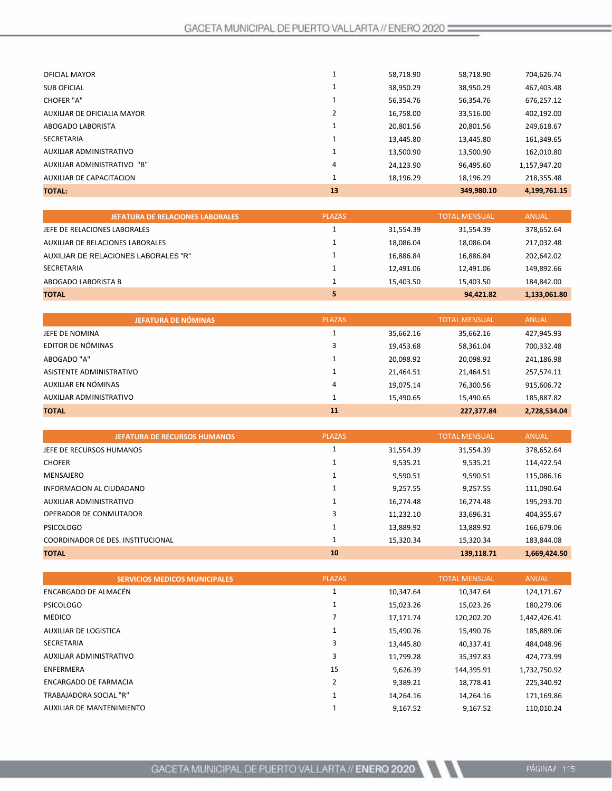| <b>OFICIAL MAYOR</b>        |    | 58,718.90 | 58,718.90  | 704,626.74   |
|-----------------------------|----|-----------|------------|--------------|
| <b>SUB OFICIAL</b>          |    | 38,950.29 | 38,950.29  | 467,403.48   |
| <b>CHOFER "A"</b>           |    | 56,354.76 | 56,354.76  | 676,257.12   |
| AUXILIAR DE OFICIALIA MAYOR |    | 16,758.00 | 33.516.00  | 402,192.00   |
| ABOGADO LABORISTA           |    | 20,801.56 | 20,801.56  | 249,618.67   |
| <b>SECRETARIA</b>           |    | 13,445.80 | 13,445.80  | 161,349.65   |
| AUXILIAR ADMINISTRATIVO     |    | 13,500.90 | 13,500.90  | 162,010.80   |
| AUXILIAR ADMINISTRATIVO "B" | 4  | 24,123.90 | 96,495.60  | 1,157,947.20 |
| AUXILIAR DE CAPACITACION    | 1  | 18,196.29 | 18.196.29  | 218.355.48   |
| <b>TOTAL:</b>               | 13 |           | 349,980.10 | 4,199,761.15 |

| <b>JEFATURA DE RELACIONES LABORALES</b> | <b>PLAZAS</b> |           | <b>TOTAL MENSUAL</b> | <b>ANUAL</b> |
|-----------------------------------------|---------------|-----------|----------------------|--------------|
| JEFE DE RELACIONES LABORALES            |               | 31,554.39 | 31.554.39            | 378,652.64   |
| AUXILIAR DE RELACIONES LABORALES        |               | 18.086.04 | 18.086.04            | 217,032.48   |
| AUXILIAR DE RELACIONES LABORALES "R"    |               | 16,886.84 | 16.886.84            | 202,642.02   |
| SECRETARIA                              |               | 12.491.06 | 12.491.06            | 149,892.66   |
| ABOGADO LABORISTA B                     |               | 15.403.50 | 15.403.50            | 184,842.00   |
| <b>TOTAL</b>                            |               |           | 94.421.82            | 1,133,061.80 |

| JEFATURA DE NÓMINAS      | <b>PLAZAS</b> |           | <b>TOTAL MENSUAL</b> | <b>ANUAL</b> |
|--------------------------|---------------|-----------|----------------------|--------------|
| JEFE DE NOMINA           |               | 35,662.16 | 35,662.16            | 427,945.93   |
| EDITOR DE NÓMINAS        |               | 19,453.68 | 58,361.04            | 700,332.48   |
| ABOGADO "A"              |               | 20,098.92 | 20,098.92            | 241,186.98   |
| ASISTENTE ADMINISTRATIVO |               | 21,464.51 | 21,464.51            | 257,574.11   |
| AUXILIAR EN NÓMINAS      | 4             | 19,075.14 | 76,300.56            | 915,606.72   |
| AUXILIAR ADMINISTRATIVO  |               | 15,490.65 | 15,490.65            | 185,887.82   |
| <b>TOTAL</b>             | 11            |           | 227,377.84           | 2,728,534.04 |

| <b>JEFATURA DE RECURSOS HUMANOS</b> | <b>PLAZAS</b> |           | <b>TOTAL MENSUAL</b> | <b>ANUAL</b> |
|-------------------------------------|---------------|-----------|----------------------|--------------|
| JEFE DE RECURSOS HUMANOS            |               | 31,554.39 | 31,554.39            | 378,652.64   |
| <b>CHOFER</b>                       |               | 9,535.21  | 9,535.21             | 114,422.54   |
| MENSAJERO                           |               | 9.590.51  | 9,590.51             | 115,086.16   |
| INFORMACION AL CIUDADANO            | 1             | 9.257.55  | 9.257.55             | 111,090.64   |
| AUXILIAR ADMINISTRATIVO             |               | 16,274.48 | 16.274.48            | 195,293.70   |
| OPERADOR DE CONMUTADOR              | 3             | 11,232.10 | 33,696.31            | 404,355.67   |
| <b>PSICOLOGO</b>                    |               | 13,889.92 | 13,889.92            | 166,679.06   |
| COORDINADOR DE DES. INSTITUCIONAL   | 1             | 15.320.34 | 15.320.34            | 183,844.08   |
| <b>TOTAL</b>                        | 10            |           | 139,118.71           | 1,669,424.50 |

| <b>SERVICIOS MEDICOS MUNICIPALES</b> | <b>PLAZAS</b> |           | <b>TOTAL MENSUAL</b> | <b>ANUAL</b> |
|--------------------------------------|---------------|-----------|----------------------|--------------|
| ENCARGADO DE ALMACÉN                 |               | 10.347.64 | 10.347.64            | 124,171.67   |
| <b>PSICOLOGO</b>                     |               | 15,023.26 | 15,023.26            | 180,279.06   |
| <b>MEDICO</b>                        |               | 17,171.74 | 120,202.20           | 1,442,426.41 |
| AUXILIAR DE LOGISTICA                |               | 15,490.76 | 15,490.76            | 185,889.06   |
| <b>SECRETARIA</b>                    | 3             | 13,445.80 | 40,337.41            | 484,048.96   |
| AUXILIAR ADMINISTRATIVO              | 3             | 11,799.28 | 35,397.83            | 424,773.99   |
| <b>ENFERMERA</b>                     | 15            | 9,626.39  | 144,395.91           | 1,732,750.92 |
| <b>ENCARGADO DE FARMACIA</b>         | ำ             | 9,389.21  | 18,778.41            | 225,340.92   |
| TRABAJADORA SOCIAL "R"               |               | 14.264.16 | 14.264.16            | 171,169.86   |
| <b>AUXILIAR DE MANTENIMIENTO</b>     |               | 9,167.52  | 9.167.52             | 110,010.24   |

N